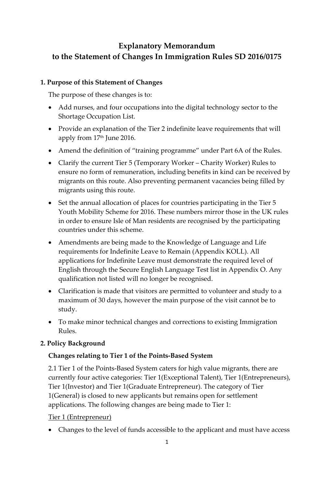# **Explanatory Memorandum to the Statement of Changes In Immigration Rules SD 2016/0175**

### **1. Purpose of this Statement of Changes**

The purpose of these changes is to:

- Add nurses, and four occupations into the digital technology sector to the Shortage Occupation List.
- Provide an explanation of the Tier 2 indefinite leave requirements that will apply from 17<sup>th</sup> June 2016.
- Amend the definition of "training programme" under Part 6A of the Rules.
- Clarify the current Tier 5 (Temporary Worker Charity Worker) Rules to ensure no form of remuneration, including benefits in kind can be received by migrants on this route. Also preventing permanent vacancies being filled by migrants using this route.
- Set the annual allocation of places for countries participating in the Tier 5 Youth Mobility Scheme for 2016. These numbers mirror those in the UK rules in order to ensure Isle of Man residents are recognised by the participating countries under this scheme.
- Amendments are being made to the Knowledge of Language and Life requirements for Indefinite Leave to Remain (Appendix KOLL). All applications for Indefinite Leave must demonstrate the required level of English through the Secure English Language Test list in Appendix O. Any qualification not listed will no longer be recognised.
- Clarification is made that visitors are permitted to volunteer and study to a maximum of 30 days, however the main purpose of the visit cannot be to study.
- To make minor technical changes and corrections to existing Immigration Rules.

### **2. Policy Background**

### **Changes relating to Tier 1 of the Points-Based System**

2.1 Tier 1 of the Points-Based System caters for high value migrants, there are currently four active categories: Tier 1(Exceptional Talent), Tier 1(Entrepreneurs), Tier 1(Investor) and Tier 1(Graduate Entrepreneur). The category of Tier 1(General) is closed to new applicants but remains open for settlement applications. The following changes are being made to Tier 1:

Tier 1 (Entrepreneur)

Changes to the level of funds accessible to the applicant and must have access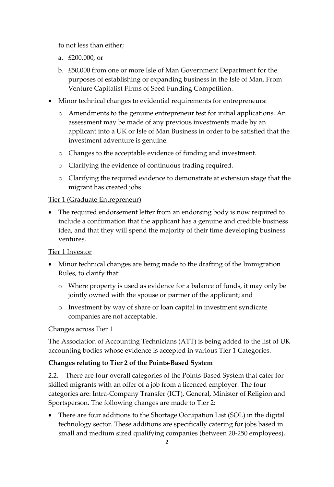to not less than either;

- a. £200,000, or
- b. £50,000 from one or more Isle of Man Government Department for the purposes of establishing or expanding business in the Isle of Man. From Venture Capitalist Firms of Seed Funding Competition.
- Minor technical changes to evidential requirements for entrepreneurs:
	- o Amendments to the genuine entrepreneur test for initial applications. An assessment may be made of any previous investments made by an applicant into a UK or Isle of Man Business in order to be satisfied that the investment adventure is genuine.
	- o Changes to the acceptable evidence of funding and investment.
	- o Clarifying the evidence of continuous trading required.
	- o Clarifying the required evidence to demonstrate at extension stage that the migrant has created jobs

### Tier 1 (Graduate Entrepreneur)

 The required endorsement letter from an endorsing body is now required to include a confirmation that the applicant has a genuine and credible business idea, and that they will spend the majority of their time developing business ventures.

### Tier 1 Investor

- Minor technical changes are being made to the drafting of the Immigration Rules, to clarify that:
	- o Where property is used as evidence for a balance of funds, it may only be jointly owned with the spouse or partner of the applicant; and
	- o Investment by way of share or loan capital in investment syndicate companies are not acceptable.

### Changes across Tier 1

The Association of Accounting Technicians (ATT) is being added to the list of UK accounting bodies whose evidence is accepted in various Tier 1 Categories.

### **Changes relating to Tier 2 of the Points-Based System**

2.2. There are four overall categories of the Points-Based System that cater for skilled migrants with an offer of a job from a licenced employer. The four categories are: Intra-Company Transfer (ICT), General, Minister of Religion and Sportsperson. The following changes are made to Tier 2:

• There are four additions to the Shortage Occupation List (SOL) in the digital technology sector. These additions are specifically catering for jobs based in small and medium sized qualifying companies (between 20-250 employees),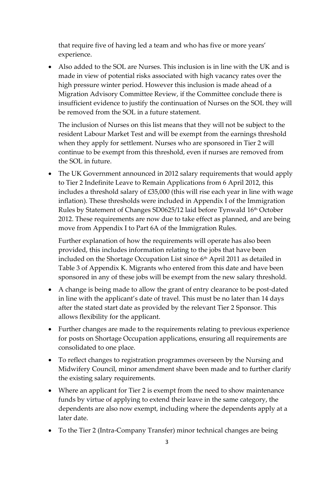that require five of having led a team and who has five or more years' experience.

 Also added to the SOL are Nurses. This inclusion is in line with the UK and is made in view of potential risks associated with high vacancy rates over the high pressure winter period. However this inclusion is made ahead of a Migration Advisory Committee Review, if the Committee conclude there is insufficient evidence to justify the continuation of Nurses on the SOL they will be removed from the SOL in a future statement.

The inclusion of Nurses on this list means that they will not be subject to the resident Labour Market Test and will be exempt from the earnings threshold when they apply for settlement. Nurses who are sponsored in Tier 2 will continue to be exempt from this threshold, even if nurses are removed from the SOL in future.

 The UK Government announced in 2012 salary requirements that would apply to Tier 2 Indefinite Leave to Remain Applications from 6 April 2012, this includes a threshold salary of £35,000 (this will rise each year in line with wage inflation). These thresholds were included in Appendix I of the Immigration Rules by Statement of Changes SD0625/12 laid before Tynwald 16<sup>th</sup> October 2012. These requirements are now due to take effect as planned, and are being move from Appendix I to Part 6A of the Immigration Rules.

Further explanation of how the requirements will operate has also been provided, this includes information relating to the jobs that have been included on the Shortage Occupation List since 6<sup>th</sup> April 2011 as detailed in Table 3 of Appendix K. Migrants who entered from this date and have been sponsored in any of these jobs will be exempt from the new salary threshold.

- A change is being made to allow the grant of entry clearance to be post-dated in line with the applicant's date of travel. This must be no later than 14 days after the stated start date as provided by the relevant Tier 2 Sponsor. This allows flexibility for the applicant.
- Further changes are made to the requirements relating to previous experience for posts on Shortage Occupation applications, ensuring all requirements are consolidated to one place.
- To reflect changes to registration programmes overseen by the Nursing and Midwifery Council, minor amendment shave been made and to further clarify the existing salary requirements.
- Where an applicant for Tier 2 is exempt from the need to show maintenance funds by virtue of applying to extend their leave in the same category, the dependents are also now exempt, including where the dependents apply at a later date.
- To the Tier 2 (Intra-Company Transfer) minor technical changes are being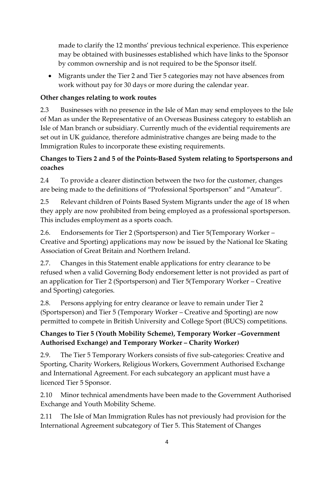made to clarify the 12 months' previous technical experience. This experience may be obtained with businesses established which have links to the Sponsor by common ownership and is not required to be the Sponsor itself.

 Migrants under the Tier 2 and Tier 5 categories may not have absences from work without pay for 30 days or more during the calendar year.

# **Other changes relating to work routes**

2.3 Businesses with no presence in the Isle of Man may send employees to the Isle of Man as under the Representative of an Overseas Business category to establish an Isle of Man branch or subsidiary. Currently much of the evidential requirements are set out in UK guidance, therefore administrative changes are being made to the Immigration Rules to incorporate these existing requirements.

# **Changes to Tiers 2 and 5 of the Points-Based System relating to Sportspersons and coaches**

2.4 To provide a clearer distinction between the two for the customer, changes are being made to the definitions of "Professional Sportsperson" and "Amateur".

2.5 Relevant children of Points Based System Migrants under the age of 18 when they apply are now prohibited from being employed as a professional sportsperson. This includes employment as a sports coach.

2.6. Endorsements for Tier 2 (Sportsperson) and Tier 5(Temporary Worker – Creative and Sporting) applications may now be issued by the National Ice Skating Association of Great Britain and Northern Ireland.

2.7. Changes in this Statement enable applications for entry clearance to be refused when a valid Governing Body endorsement letter is not provided as part of an application for Tier 2 (Sportsperson) and Tier 5(Temporary Worker – Creative and Sporting) categories.

2.8. Persons applying for entry clearance or leave to remain under Tier 2 (Sportsperson) and Tier 5 (Temporary Worker – Creative and Sporting) are now permitted to compete in British University and College Sport (BUCS) competitions.

# **Changes to Tier 5 (Youth Mobility Scheme), Temporary Worker –Government Authorised Exchange) and Temporary Worker – Charity Worker)**

2.9. The Tier 5 Temporary Workers consists of five sub-categories: Creative and Sporting, Charity Workers, Religious Workers, Government Authorised Exchange and International Agreement. For each subcategory an applicant must have a licenced Tier 5 Sponsor.

2.10 Minor technical amendments have been made to the Government Authorised Exchange and Youth Mobility Scheme.

2.11 The Isle of Man Immigration Rules has not previously had provision for the International Agreement subcategory of Tier 5. This Statement of Changes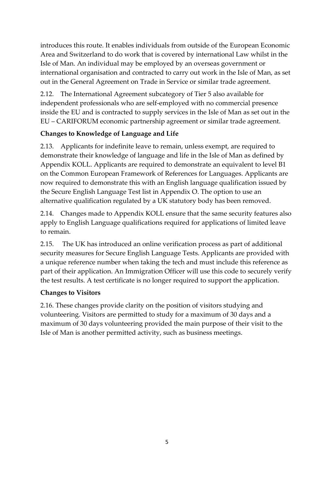introduces this route. It enables individuals from outside of the European Economic Area and Switzerland to do work that is covered by international Law whilst in the Isle of Man. An individual may be employed by an overseas government or international organisation and contracted to carry out work in the Isle of Man, as set out in the General Agreement on Trade in Service or similar trade agreement.

2.12. The International Agreement subcategory of Tier 5 also available for independent professionals who are self-employed with no commercial presence inside the EU and is contracted to supply services in the Isle of Man as set out in the EU – CARIFORUM economic partnership agreement or similar trade agreement.

# **Changes to Knowledge of Language and Life**

2.13. Applicants for indefinite leave to remain, unless exempt, are required to demonstrate their knowledge of language and life in the Isle of Man as defined by Appendix KOLL. Applicants are required to demonstrate an equivalent to level B1 on the Common European Framework of References for Languages. Applicants are now required to demonstrate this with an English language qualification issued by the Secure English Language Test list in Appendix O. The option to use an alternative qualification regulated by a UK statutory body has been removed.

2.14. Changes made to Appendix KOLL ensure that the same security features also apply to English Language qualifications required for applications of limited leave to remain.

2.15. The UK has introduced an online verification process as part of additional security measures for Secure English Language Tests. Applicants are provided with a unique reference number when taking the tech and must include this reference as part of their application. An Immigration Officer will use this code to securely verify the test results. A test certificate is no longer required to support the application.

### **Changes to Visitors**

2.16. These changes provide clarity on the position of visitors studying and volunteering. Visitors are permitted to study for a maximum of 30 days and a maximum of 30 days volunteering provided the main purpose of their visit to the Isle of Man is another permitted activity, such as business meetings.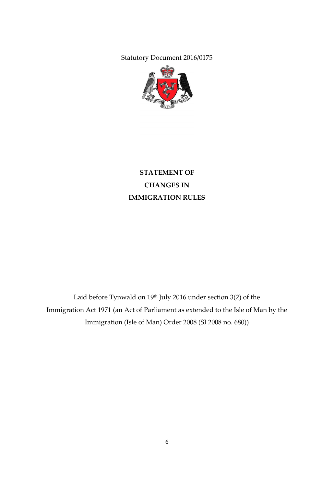Statutory Document 2016/0175



# **STATEMENT OF CHANGES IN IMMIGRATION RULES**

Laid before Tynwald on  $19<sup>th</sup>$  July 2016 under section 3(2) of the Immigration Act 1971 (an Act of Parliament as extended to the Isle of Man by the Immigration (Isle of Man) Order 2008 (SI 2008 no. 680))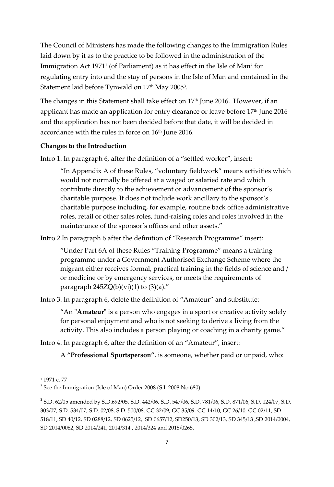The Council of Ministers has made the following changes to the Immigration Rules laid down by it as to the practice to be followed in the administration of the Immigration Act 1971<sup>1</sup> (of Parliament) as it has effect in the Isle of Man**<sup>2</sup>** for regulating entry into and the stay of persons in the Isle of Man and contained in the Statement laid before Tynwald on  $17^{\rm th}$  May 2005 $^{\rm 3}$ .

The changes in this Statement shall take effect on 17<sup>th</sup> June 2016. However, if an applicant has made an application for entry clearance or leave before 17<sup>th</sup> June 2016 and the application has not been decided before that date, it will be decided in accordance with the rules in force on 16<sup>th</sup> June 2016.

### **Changes to the Introduction**

Intro 1. In paragraph 6, after the definition of a "settled worker", insert:

"In Appendix A of these Rules, "voluntary fieldwork" means activities which would not normally be offered at a waged or salaried rate and which contribute directly to the achievement or advancement of the sponsor's charitable purpose. It does not include work ancillary to the sponsor's charitable purpose including, for example, routine back office administrative roles, retail or other sales roles, fund-raising roles and roles involved in the maintenance of the sponsor's offices and other assets."

Intro 2.In paragraph 6 after the definition of "Research Programme" insert:

"Under Part 6A of these Rules "Training Programme" means a training programme under a Government Authorised Exchange Scheme where the migrant either receives formal, practical training in the fields of science and / or medicine or by emergency services, or meets the requirements of paragraph  $245ZQ(b)(vi)(1)$  to  $(3)(a)$ ."

Intro 3. In paragraph 6, delete the definition of "Amateur" and substitute:

"An "**Amateur**" is a person who engages in a sport or creative activity solely for personal enjoyment and who is not seeking to derive a living from the activity. This also includes a person playing or coaching in a charity game."

Intro 4. In paragraph 6, after the definition of an "Amateur", insert:

A **"Professional Sportsperson"**, is someone, whether paid or unpaid, who:

 $\overline{\phantom{a}}$ 

<sup>&</sup>lt;sup>1</sup> 1971 c. 77

<sup>&</sup>lt;sup>2</sup> See the Immigration (Isle of Man) Order 2008 (S.I. 2008 No 680)

<sup>3</sup> S.D. 62/05 amended by S.D.692/05, S.D. 442/06, S.D. 547/06, S.D. 781/06, S.D. 871/06, S.D. 124/07, S.D. 303/07, S.D. 534/07, S.D. 02/08, S.D. 500/08, GC 32/09, GC 35/09, GC 14/10, GC 26/10, GC 02/11, SD 518/11, SD 40/12, SD 0288/12, SD 0625/12, SD 0657/12, SD250/13, SD 302/13, SD 345/13 ,SD 2014/0004, SD 2014/0082, SD 2014/241, 2014/314 , 2014/324 and 2015/0265.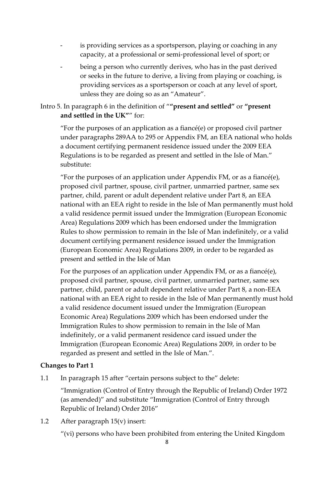- is providing services as a sportsperson, playing or coaching in any capacity, at a professional or semi-professional level of sport; or
- being a person who currently derives, who has in the past derived or seeks in the future to derive, a living from playing or coaching, is providing services as a sportsperson or coach at any level of sport, unless they are doing so as an "Amateur".

### Intro 5. In paragraph 6 in the definition of "**"present and settled"** or **"present and settled in the UK"**" for:

"For the purposes of an application as a fiancé(e) or proposed civil partner under paragraphs 289AA to 295 or Appendix FM, an EEA national who holds a document certifying permanent residence issued under the 2009 EEA Regulations is to be regarded as present and settled in the Isle of Man." substitute:

"For the purposes of an application under Appendix FM, or as a fiance  $(e)$ , proposed civil partner, spouse, civil partner, unmarried partner, same sex partner, child, parent or adult dependent relative under Part 8, an EEA national with an EEA right to reside in the Isle of Man permanently must hold a valid residence permit issued under the Immigration (European Economic Area) Regulations 2009 which has been endorsed under the Immigration Rules to show permission to remain in the Isle of Man indefinitely, or a valid document certifying permanent residence issued under the Immigration (European Economic Area) Regulations 2009, in order to be regarded as present and settled in the Isle of Man

For the purposes of an application under Appendix FM, or as a fiancé(e), proposed civil partner, spouse, civil partner, unmarried partner, same sex partner, child, parent or adult dependent relative under Part 8, a non-EEA national with an EEA right to reside in the Isle of Man permanently must hold a valid residence document issued under the Immigration (European Economic Area) Regulations 2009 which has been endorsed under the Immigration Rules to show permission to remain in the Isle of Man indefinitely, or a valid permanent residence card issued under the Immigration (European Economic Area) Regulations 2009, in order to be regarded as present and settled in the Isle of Man.".

### **Changes to Part 1**

1.1 In paragraph 15 after "certain persons subject to the" delete:

"Immigration (Control of Entry through the Republic of Ireland) Order 1972 (as amended)" and substitute "Immigration (Control of Entry through Republic of Ireland) Order 2016"

1.2 After paragraph 15(v) insert:

"(vi) persons who have been prohibited from entering the United Kingdom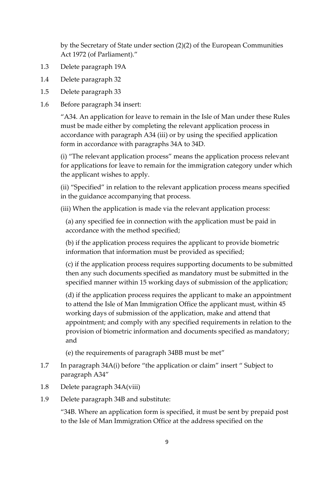by the Secretary of State under section (2)(2) of the European Communities Act 1972 (of Parliament)."

- 1.3 Delete paragraph 19A
- 1.4 Delete paragraph 32
- 1.5 Delete paragraph 33
- 1.6 Before paragraph 34 insert:

"A34. An application for leave to remain in the Isle of Man under these Rules must be made either by completing the relevant application process in accordance with paragraph A34 (iii) or by using the specified application form in accordance with paragraphs 34A to 34D.

(i) "The relevant application process" means the application process relevant for applications for leave to remain for the immigration category under which the applicant wishes to apply.

(ii) "Specified" in relation to the relevant application process means specified in the guidance accompanying that process.

(iii) When the application is made via the relevant application process:

(a) any specified fee in connection with the application must be paid in accordance with the method specified;

(b) if the application process requires the applicant to provide biometric information that information must be provided as specified;

(c) if the application process requires supporting documents to be submitted then any such documents specified as mandatory must be submitted in the specified manner within 15 working days of submission of the application;

(d) if the application process requires the applicant to make an appointment to attend the Isle of Man Immigration Office the applicant must, within 45 working days of submission of the application, make and attend that appointment; and comply with any specified requirements in relation to the provision of biometric information and documents specified as mandatory; and

(e) the requirements of paragraph 34BB must be met"

- 1.7 In paragraph 34A(i) before "the application or claim" insert " Subject to paragraph A34"
- 1.8 Delete paragraph 34A(viii)
- 1.9 Delete paragraph 34B and substitute:

"34B. Where an application form is specified, it must be sent by prepaid post to the Isle of Man Immigration Office at the address specified on the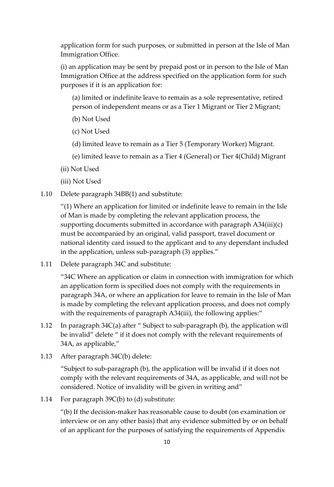application form for such purposes, or submitted in person at the Isle of Man Immigration Office.

(i) an application may be sent by prepaid post or in person to the Isle of Man Immigration Office at the address specified on the application form for such purposes if it is an application for:

(a) limited or indefinite leave to remain as a sole representative, retired person of independent means or as a Tier 1 Migrant or Tier 2 Migrant;

- (b) Not Used
- (c) Not Used
- (d) limited leave to remain as a Tier 5 (Temporary Worker) Migrant.
- (e) limited leave to remain as a Tier 4 (General) or Tier 4(Child) Migrant
- (ii) Not Used
- (iii) Not Used
- 1.10 Delete paragraph 34BB(1) and substitute:

"(1) Where an application for limited or indefinite leave to remain in the Isle of Man is made by completing the relevant application process, the supporting documents submitted in accordance with paragraph  $A34(iii)(c)$ must be accompanied by an original, valid passport, travel document or national identity card issued to the applicant and to any dependant included in the application, unless sub-paragraph (3) applies."

1.11 Delete paragraph 34C and substitute:

"34C Where an application or claim in connection with immigration for which an application form is specified does not comply with the requirements in paragraph 34A, or where an application for leave to remain in the Isle of Man is made by completing the relevant application process, and does not comply with the requirements of paragraph A34(iii), the following applies:"

- 1.12 In paragraph 34C(a) after " Subject to sub-paragraph (b), the application will be invalid" delete " if it does not comply with the relevant requirements of 34A, as applicable,"
- 1.13 After paragraph 34C(b) delete:

"Subject to sub-paragraph (b), the application will be invalid if it does not comply with the relevant requirements of 34A, as applicable, and will not be considered. Notice of invalidity will be given in writing and"

1.14 For paragraph 39C(b) to (d) substitute:

"(b) If the decision-maker has reasonable cause to doubt (on examination or interview or on any other basis) that any evidence submitted by or on behalf of an applicant for the purposes of satisfying the requirements of Appendix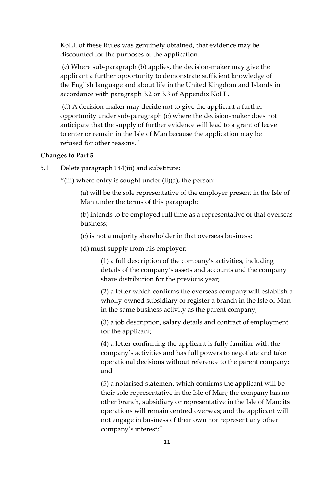KoLL of these Rules was genuinely obtained, that evidence may be discounted for the purposes of the application.

(c) Where sub-paragraph (b) applies, the decision-maker may give the applicant a further opportunity to demonstrate sufficient knowledge of the English language and about life in the United Kingdom and Islands in accordance with paragraph 3.2 or 3.3 of Appendix KoLL.

(d) A decision-maker may decide not to give the applicant a further opportunity under sub-paragraph (c) where the decision-maker does not anticipate that the supply of further evidence will lead to a grant of leave to enter or remain in the Isle of Man because the application may be refused for other reasons."

#### **Changes to Part 5**

5.1 Delete paragraph 144(iii) and substitute:

"(iii) where entry is sought under (ii)(a), the person:

(a) will be the sole representative of the employer present in the Isle of Man under the terms of this paragraph;

(b) intends to be employed full time as a representative of that overseas business;

(c) is not a majority shareholder in that overseas business;

(d) must supply from his employer:

(1) a full description of the company's activities, including details of the company's assets and accounts and the company share distribution for the previous year;

(2) a letter which confirms the overseas company will establish a wholly-owned subsidiary or register a branch in the Isle of Man in the same business activity as the parent company;

(3) a job description, salary details and contract of employment for the applicant;

(4) a letter confirming the applicant is fully familiar with the company's activities and has full powers to negotiate and take operational decisions without reference to the parent company; and

(5) a notarised statement which confirms the applicant will be their sole representative in the Isle of Man; the company has no other branch, subsidiary or representative in the Isle of Man; its operations will remain centred overseas; and the applicant will not engage in business of their own nor represent any other company's interest;"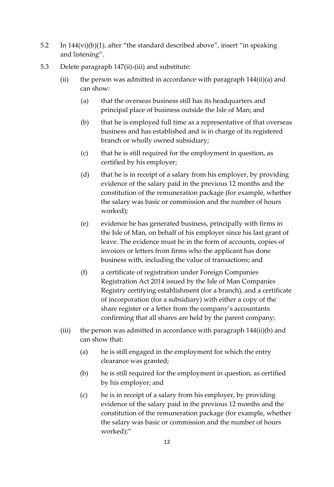- 5.2 In 144(vi)(b)(1), after "the standard described above", insert "in speaking and listening".
- 5.3 Delete paragraph 147(ii)-(iii) and substitute:
	- (ii) the person was admitted in accordance with paragraph  $144(ii)(a)$  and can show:
		- (a) that the overseas business still has its headquarters and principal place of business outside the Isle of Man; and
		- (b) that he is employed full time as a representative of that overseas business and has established and is in charge of its registered branch or wholly owned subsidiary;
		- (c) that he is still required for the employment in question, as certified by his employer;
		- (d) that he is in receipt of a salary from his employer, by providing evidence of the salary paid in the previous 12 months and the constitution of the remuneration package (for example, whether the salary was basic or commission and the number of hours worked);
		- (e) evidence he has generated business, principally with firms in the Isle of Man, on behalf of his employer since his last grant of leave. The evidence must be in the form of accounts, copies of invoices or letters from firms who the applicant has done business with, including the value of transactions; and
		- (f) a certificate of registration under Foreign Companies Registration Act 2014 issued by the Isle of Man Companies Registry certifying establishment (for a branch), and a certificate of incorporation (for a subsidiary) with either a copy of the share register or a letter from the company's accountants confirming that all shares are held by the parent company;
	- (iii) the person was admitted in accordance with paragraph 144(ii)(b) and can show that:
		- (a) he is still engaged in the employment for which the entry clearance was granted;
		- (b) he is still required for the employment in question, as certified by his employer; and
		- (c) he is in receipt of a salary from his employer, by providing evidence of the salary paid in the previous 12 months and the constitution of the remuneration package (for example, whether the salary was basic or commission and the number of hours worked);"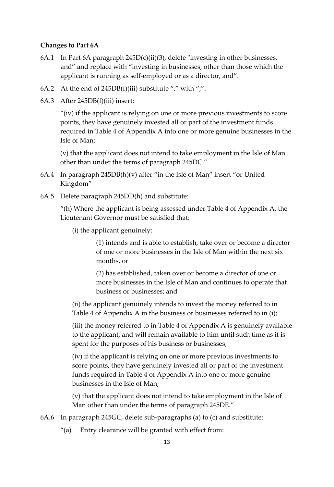#### **Changes to Part 6A**

- 6A.1 In Part 6A paragraph 245D(c)(ii)(3), delete "investing in other businesses, and" and replace with "investing in businesses, other than those which the applicant is running as self-employed or as a director, and".
- 6A.2 At the end of  $245DB(f)(iii)$  substitute "." with ";".
- 6A.3 After 245DB(f)(iii) insert:

"(iv) if the applicant is relying on one or more previous investments to score points, they have genuinely invested all or part of the investment funds required in Table 4 of Appendix A into one or more genuine businesses in the Isle of Man;

(v) that the applicant does not intend to take employment in the Isle of Man other than under the terms of paragraph 245DC."

- 6A.4 In paragraph 245DB(h)(v) after "in the Isle of Man" insert "or United Kingdom"
- 6A.5 Delete paragraph 245DD(h) and substitute:

"(h) Where the applicant is being assessed under Table 4 of Appendix A, the Lieutenant Governor must be satisfied that:

(i) the applicant genuinely:

(1) intends and is able to establish, take over or become a director of one or more businesses in the Isle of Man within the next six months, or

(2) has established, taken over or become a director of one or more businesses in the Isle of Man and continues to operate that business or businesses; and

(ii) the applicant genuinely intends to invest the money referred to in Table 4 of Appendix A in the business or businesses referred to in (i);

(iii) the money referred to in Table 4 of Appendix A is genuinely available to the applicant, and will remain available to him until such time as it is spent for the purposes of his business or businesses;

(iv) if the applicant is relying on one or more previous investments to score points, they have genuinely invested all or part of the investment funds required in Table 4 of Appendix A into one or more genuine businesses in the Isle of Man;

(v) that the applicant does not intend to take employment in the Isle of Man other than under the terms of paragraph 245DE."

- 6A.6 In paragraph 245GC, delete sub-paragraphs (a) to (c) and substitute:
	- "(a) Entry clearance will be granted with effect from: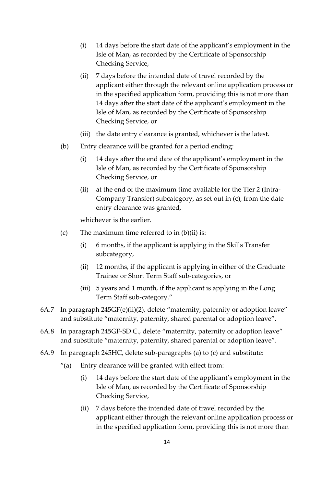- (i) 14 days before the start date of the applicant's employment in the Isle of Man, as recorded by the Certificate of Sponsorship Checking Service,
- (ii) 7 days before the intended date of travel recorded by the applicant either through the relevant online application process or in the specified application form, providing this is not more than 14 days after the start date of the applicant's employment in the Isle of Man, as recorded by the Certificate of Sponsorship Checking Service, or
- (iii) the date entry clearance is granted, whichever is the latest.
- (b) Entry clearance will be granted for a period ending:
	- (i) 14 days after the end date of the applicant's employment in the Isle of Man, as recorded by the Certificate of Sponsorship Checking Service, or
	- (ii) at the end of the maximum time available for the Tier 2 (Intra-Company Transfer) subcategory, as set out in (c), from the date entry clearance was granted,

whichever is the earlier.

- (c) The maximum time referred to in  $(b)(ii)$  is:
	- (i) 6 months, if the applicant is applying in the Skills Transfer subcategory,
	- (ii) 12 months, if the applicant is applying in either of the Graduate Trainee or Short Term Staff sub-categories, or
	- (iii) 5 years and 1 month, if the applicant is applying in the Long Term Staff sub-category."
- 6A.7 In paragraph 245GF(e)(ii)(2), delete "maternity, paternity or adoption leave" and substitute "maternity, paternity, shared parental or adoption leave".
- 6A.8 In paragraph 245GF-SD C., delete "maternity, paternity or adoption leave" and substitute "maternity, paternity, shared parental or adoption leave".
- 6A.9 In paragraph 245HC, delete sub-paragraphs (a) to (c) and substitute:
	- "(a) Entry clearance will be granted with effect from:
		- (i) 14 days before the start date of the applicant's employment in the Isle of Man, as recorded by the Certificate of Sponsorship Checking Service,
		- (ii) 7 days before the intended date of travel recorded by the applicant either through the relevant online application process or in the specified application form, providing this is not more than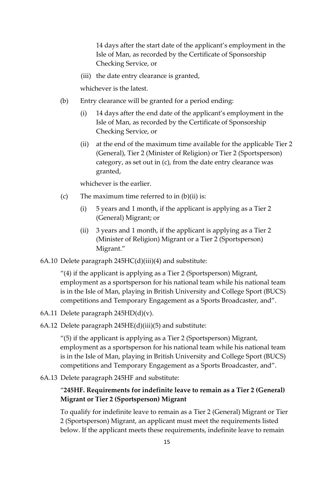14 days after the start date of the applicant's employment in the Isle of Man, as recorded by the Certificate of Sponsorship Checking Service, or

(iii) the date entry clearance is granted,

whichever is the latest.

- (b) Entry clearance will be granted for a period ending:
	- (i) 14 days after the end date of the applicant's employment in the Isle of Man, as recorded by the Certificate of Sponsorship Checking Service, or
	- (ii) at the end of the maximum time available for the applicable Tier 2 (General), Tier 2 (Minister of Religion) or Tier 2 (Sportsperson) category, as set out in (c), from the date entry clearance was granted,

whichever is the earlier.

- (c) The maximum time referred to in  $(b)(ii)$  is:
	- (i) 5 years and 1 month, if the applicant is applying as a Tier 2 (General) Migrant; or
	- (ii) 3 years and 1 month, if the applicant is applying as a Tier 2 (Minister of Religion) Migrant or a Tier 2 (Sportsperson) Migrant."
- 6A.10 Delete paragraph 245HC(d)(iii)(4) and substitute:

"(4) if the applicant is applying as a Tier 2 (Sportsperson) Migrant, employment as a sportsperson for his national team while his national team is in the Isle of Man, playing in British University and College Sport (BUCS) competitions and Temporary Engagement as a Sports Broadcaster, and".

- 6A.11 Delete paragraph 245HD(d)(v).
- 6A.12 Delete paragraph 245HE(d)(iii)(5) and substitute:

"(5) if the applicant is applying as a Tier 2 (Sportsperson) Migrant, employment as a sportsperson for his national team while his national team is in the Isle of Man, playing in British University and College Sport (BUCS) competitions and Temporary Engagement as a Sports Broadcaster, and".

6A.13 Delete paragraph 245HF and substitute:

### "**245HF. Requirements for indefinite leave to remain as a Tier 2 (General) Migrant or Tier 2 (Sportsperson) Migrant**

To qualify for indefinite leave to remain as a Tier 2 (General) Migrant or Tier 2 (Sportsperson) Migrant, an applicant must meet the requirements listed below. If the applicant meets these requirements, indefinite leave to remain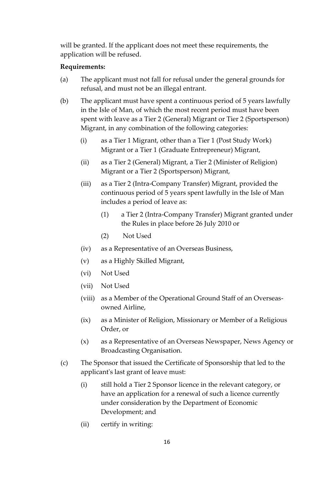will be granted. If the applicant does not meet these requirements, the application will be refused.

### **Requirements:**

- (a) The applicant must not fall for refusal under the general grounds for refusal, and must not be an illegal entrant.
- (b) The applicant must have spent a continuous period of 5 years lawfully in the Isle of Man, of which the most recent period must have been spent with leave as a Tier 2 (General) Migrant or Tier 2 (Sportsperson) Migrant, in any combination of the following categories:
	- (i) as a Tier 1 Migrant, other than a Tier 1 (Post Study Work) Migrant or a Tier 1 (Graduate Entrepreneur) Migrant,
	- (ii) as a Tier 2 (General) Migrant, a Tier 2 (Minister of Religion) Migrant or a Tier 2 (Sportsperson) Migrant,
	- (iii) as a Tier 2 (Intra-Company Transfer) Migrant, provided the continuous period of 5 years spent lawfully in the Isle of Man includes a period of leave as:
		- (1) a Tier 2 (Intra-Company Transfer) Migrant granted under the Rules in place before 26 July 2010 or
		- (2) Not Used
	- (iv) as a Representative of an Overseas Business,
	- (v) as a Highly Skilled Migrant,
	- (vi) Not Used
	- (vii) Not Used
	- (viii) as a Member of the Operational Ground Staff of an Overseasowned Airline,
	- (ix) as a Minister of Religion, Missionary or Member of a Religious Order, or
	- (x) as a Representative of an Overseas Newspaper, News Agency or Broadcasting Organisation.
- (c) The Sponsor that issued the Certificate of Sponsorship that led to the applicant's last grant of leave must:
	- (i) still hold a Tier 2 Sponsor licence in the relevant category, or have an application for a renewal of such a licence currently under consideration by the Department of Economic Development; and
	- (ii) certify in writing: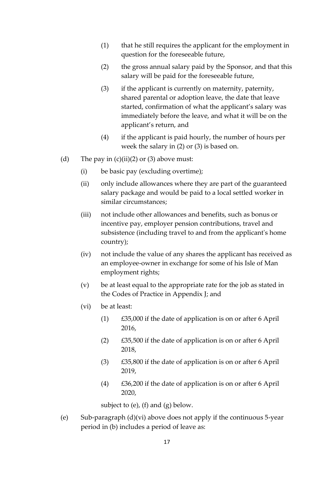- (1) that he still requires the applicant for the employment in question for the foreseeable future,
- (2) the gross annual salary paid by the Sponsor, and that this salary will be paid for the foreseeable future,
- (3) if the applicant is currently on maternity, paternity, shared parental or adoption leave, the date that leave started, confirmation of what the applicant's salary was immediately before the leave, and what it will be on the applicant's return, and
- (4) if the applicant is paid hourly, the number of hours per week the salary in (2) or (3) is based on.
- (d) The pay in  $(c)(ii)(2)$  or  $(3)$  above must:
	- (i) be basic pay (excluding overtime);
	- (ii) only include allowances where they are part of the guaranteed salary package and would be paid to a local settled worker in similar circumstances;
	- (iii) not include other allowances and benefits, such as bonus or incentive pay, employer pension contributions, travel and subsistence (including travel to and from the applicant's home country);
	- (iv) not include the value of any shares the applicant has received as an employee-owner in exchange for some of his Isle of Man employment rights;
	- (v) be at least equal to the appropriate rate for the job as stated in the Codes of Practice in Appendix J; and
	- (vi) be at least:
		- (1) £35,000 if the date of application is on or after 6 April 2016,
		- (2) £35,500 if the date of application is on or after 6 April 2018,
		- (3) £35,800 if the date of application is on or after 6 April 2019,
		- (4) £36,200 if the date of application is on or after 6 April 2020,

subject to (e), (f) and  $(g)$  below.

(e) Sub-paragraph  $(d)(vi)$  above does not apply if the continuous 5-year period in (b) includes a period of leave as: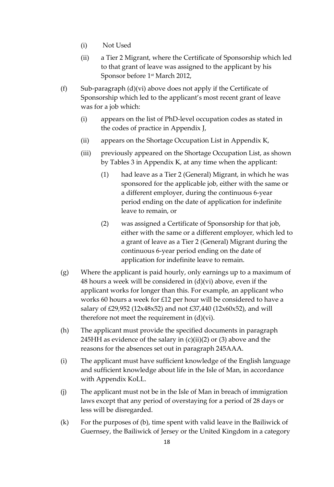- (i) Not Used
- (ii) a Tier 2 Migrant, where the Certificate of Sponsorship which led to that grant of leave was assigned to the applicant by his Sponsor before 1 st March 2012,
- (f) Sub-paragraph  $(d)(vi)$  above does not apply if the Certificate of Sponsorship which led to the applicant's most recent grant of leave was for a job which:
	- (i) appears on the list of PhD-level occupation codes as stated in the codes of practice in Appendix J,
	- (ii) appears on the Shortage Occupation List in Appendix K,
	- (iii) previously appeared on the Shortage Occupation List, as shown by Tables 3 in Appendix K, at any time when the applicant:
		- (1) had leave as a Tier 2 (General) Migrant, in which he was sponsored for the applicable job, either with the same or a different employer, during the continuous 6-year period ending on the date of application for indefinite leave to remain, or
		- (2) was assigned a Certificate of Sponsorship for that job, either with the same or a different employer, which led to a grant of leave as a Tier 2 (General) Migrant during the continuous 6-year period ending on the date of application for indefinite leave to remain.
- (g) Where the applicant is paid hourly, only earnings up to a maximum of 48 hours a week will be considered in (d)(vi) above, even if the applicant works for longer than this. For example, an applicant who works 60 hours a week for £12 per hour will be considered to have a salary of £29,952 (12x48x52) and not £37,440 (12x60x52), and will therefore not meet the requirement in (d)(vi).
- (h) The applicant must provide the specified documents in paragraph 245HH as evidence of the salary in  $(c)(ii)(2)$  or  $(3)$  above and the reasons for the absences set out in paragraph 245AAA.
- (i) The applicant must have sufficient knowledge of the English language and sufficient knowledge about life in the Isle of Man, in accordance with Appendix KoLL.
- (j) The applicant must not be in the Isle of Man in breach of immigration laws except that any period of overstaying for a period of 28 days or less will be disregarded.
- (k) For the purposes of (b), time spent with valid leave in the Bailiwick of Guernsey, the Bailiwick of Jersey or the United Kingdom in a category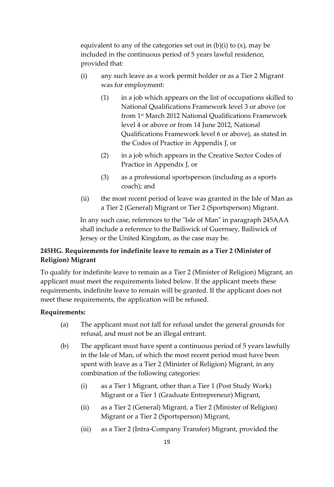equivalent to any of the categories set out in  $(b)(i)$  to  $(x)$ , may be included in the continuous period of 5 years lawful residence, provided that:

- (i) any such leave as a work permit holder or as a Tier 2 Migrant was for employment:
	- (1) in a job which appears on the list of occupations skilled to National Qualifications Framework level 3 or above (or from 1 st March 2012 National Qualifications Framework level 4 or above or from 14 June 2012, National Qualifications Framework level 6 or above), as stated in the Codes of Practice in Appendix J, or
	- (2) in a job which appears in the Creative Sector Codes of Practice in Appendix J, or
	- (3) as a professional sportsperson (including as a sports coach); and
- (ii) the most recent period of leave was granted in the Isle of Man as a Tier 2 (General) Migrant or Tier 2 (Sportsperson) Migrant.

In any such case, references to the "Isle of Man" in paragraph 245AAA shall include a reference to the Bailiwick of Guernsey, Bailiwick of Jersey or the United Kingdom, as the case may be.

## **245HG. Requirements for indefinite leave to remain as a Tier 2 (Minister of Religion) Migrant**

To qualify for indefinite leave to remain as a Tier 2 (Minister of Religion) Migrant, an applicant must meet the requirements listed below. If the applicant meets these requirements, indefinite leave to remain will be granted. If the applicant does not meet these requirements, the application will be refused.

### **Requirements:**

- (a) The applicant must not fall for refusal under the general grounds for refusal, and must not be an illegal entrant.
- (b) The applicant must have spent a continuous period of 5 years lawfully in the Isle of Man, of which the most recent period must have been spent with leave as a Tier 2 (Minister of Religion) Migrant, in any combination of the following categories:
	- (i) as a Tier 1 Migrant, other than a Tier 1 (Post Study Work) Migrant or a Tier 1 (Graduate Entrepreneur) Migrant,
	- (ii) as a Tier 2 (General) Migrant, a Tier 2 (Minister of Religion) Migrant or a Tier 2 (Sportsperson) Migrant,
	- (iii) as a Tier 2 (Intra-Company Transfer) Migrant, provided the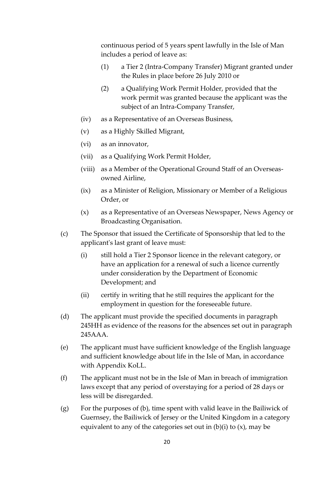continuous period of 5 years spent lawfully in the Isle of Man includes a period of leave as:

- (1) a Tier 2 (Intra-Company Transfer) Migrant granted under the Rules in place before 26 July 2010 or
- (2) a Qualifying Work Permit Holder, provided that the work permit was granted because the applicant was the subject of an Intra-Company Transfer,
- (iv) as a Representative of an Overseas Business,
- (v) as a Highly Skilled Migrant,
- (vi) as an innovator,
- (vii) as a Qualifying Work Permit Holder,
- (viii) as a Member of the Operational Ground Staff of an Overseasowned Airline,
- (ix) as a Minister of Religion, Missionary or Member of a Religious Order, or
- (x) as a Representative of an Overseas Newspaper, News Agency or Broadcasting Organisation.
- (c) The Sponsor that issued the Certificate of Sponsorship that led to the applicant's last grant of leave must:
	- (i) still hold a Tier 2 Sponsor licence in the relevant category, or have an application for a renewal of such a licence currently under consideration by the Department of Economic Development; and
	- (ii) certify in writing that he still requires the applicant for the employment in question for the foreseeable future.
- (d) The applicant must provide the specified documents in paragraph 245HH as evidence of the reasons for the absences set out in paragraph 245AAA.
- (e) The applicant must have sufficient knowledge of the English language and sufficient knowledge about life in the Isle of Man, in accordance with Appendix KoLL.
- (f) The applicant must not be in the Isle of Man in breach of immigration laws except that any period of overstaying for a period of 28 days or less will be disregarded.
- (g) For the purposes of (b), time spent with valid leave in the Bailiwick of Guernsey, the Bailiwick of Jersey or the United Kingdom in a category equivalent to any of the categories set out in  $(b)(i)$  to  $(x)$ , may be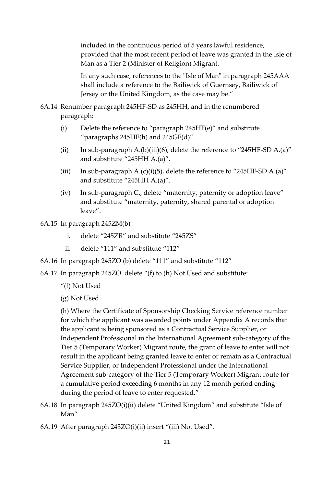included in the continuous period of 5 years lawful residence, provided that the most recent period of leave was granted in the Isle of Man as a Tier 2 (Minister of Religion) Migrant.

In any such case, references to the "Isle of Man" in paragraph 245AAA shall include a reference to the Bailiwick of Guernsey, Bailiwick of Jersey or the United Kingdom, as the case may be."

- 6A.14 Renumber paragraph 245HF-SD as 245HH, and in the renumbered paragraph:
	- (i) Delete the reference to "paragraph 245HF(e)" and substitute "paragraphs 245HF(h) and 245GF(d)".
	- (ii) In sub-paragraph A.(b)(iii)(6), delete the reference to "245HF-SD A.(a)" and substitute "245HH A.(a)".
	- (iii) In sub-paragraph  $A.(c)(i)(5)$ , delete the reference to "245HF-SD  $A.(a)$ " and substitute "245HH A.(a)".
	- (iv) In sub-paragraph C., delete "maternity, paternity or adoption leave" and substitute "maternity, paternity, shared parental or adoption leave".
- 6A.15 In paragraph 245ZM(b)
	- i. delete "245ZR" and substitute "245ZS"
	- ii. delete "111" and substitute "112"
- 6A.16 In paragraph 245ZO (b) delete "111" and substitute "112"
- 6A.17 In paragraph 245ZO delete "(f) to (h) Not Used and substitute:
	- "(f) Not Used
	- (g) Not Used

(h) Where the Certificate of Sponsorship Checking Service reference number for which the applicant was awarded points under Appendix A records that the applicant is being sponsored as a Contractual Service Supplier, or Independent Professional in the International Agreement sub-category of the Tier 5 (Temporary Worker) Migrant route, the grant of leave to enter will not result in the applicant being granted leave to enter or remain as a Contractual Service Supplier, or Independent Professional under the International Agreement sub-category of the Tier 5 (Temporary Worker) Migrant route for a cumulative period exceeding 6 months in any 12 month period ending during the period of leave to enter requested."

- 6A.18 In paragraph 245ZO(i)(ii) delete "United Kingdom" and substitute "Isle of Man"
- 6A.19 After paragraph 245ZO(i)(ii) insert "(iii) Not Used".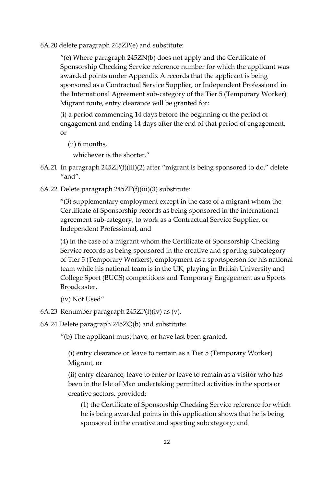6A.20 delete paragraph 245ZP(e) and substitute:

"(e) Where paragraph 245ZN(b) does not apply and the Certificate of Sponsorship Checking Service reference number for which the applicant was awarded points under Appendix A records that the applicant is being sponsored as a Contractual Service Supplier, or Independent Professional in the International Agreement sub-category of the Tier 5 (Temporary Worker) Migrant route, entry clearance will be granted for:

(i) a period commencing 14 days before the beginning of the period of engagement and ending 14 days after the end of that period of engagement, or

(ii) 6 months,

whichever is the shorter."

- 6A.21 In paragraph 245ZP(f)(iii)(2) after "migrant is being sponsored to do," delete "and".
- 6A.22 Delete paragraph 245ZP(f)(iii)(3) substitute:

"(3) supplementary employment except in the case of a migrant whom the Certificate of Sponsorship records as being sponsored in the international agreement sub-category, to work as a Contractual Service Supplier, or Independent Professional, and

(4) in the case of a migrant whom the Certificate of Sponsorship Checking Service records as being sponsored in the creative and sporting subcategory of Tier 5 (Temporary Workers), employment as a sportsperson for his national team while his national team is in the UK, playing in British University and College Sport (BUCS) competitions and Temporary Engagement as a Sports Broadcaster.

- (iv) Not Used"
- 6A.23 Renumber paragraph 245ZP(f)(iv) as (v).
- 6A.24 Delete paragraph 245ZQ(b) and substitute:

"(b) The applicant must have, or have last been granted.

(i) entry clearance or leave to remain as a Tier 5 (Temporary Worker) Migrant, or

(ii) entry clearance, leave to enter or leave to remain as a visitor who has been in the Isle of Man undertaking permitted activities in the sports or creative sectors, provided:

(1) the Certificate of Sponsorship Checking Service reference for which he is being awarded points in this application shows that he is being sponsored in the creative and sporting subcategory; and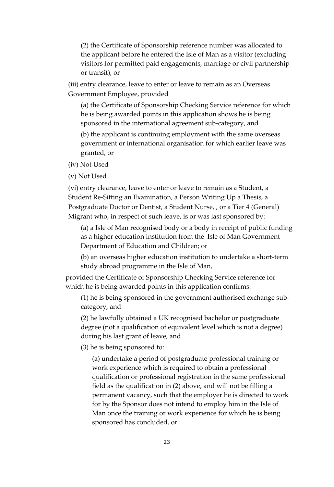(2) the Certificate of Sponsorship reference number was allocated to the applicant before he entered the Isle of Man as a visitor (excluding visitors for permitted paid engagements, marriage or civil partnership or transit), or

(iii) entry clearance, leave to enter or leave to remain as an Overseas Government Employee, provided

(a) the Certificate of Sponsorship Checking Service reference for which he is being awarded points in this application shows he is being sponsored in the international agreement sub-category, and

(b) the applicant is continuing employment with the same overseas government or international organisation for which earlier leave was granted, or

(iv) Not Used

(v) Not Used

(vi) entry clearance, leave to enter or leave to remain as a Student, a Student Re-Sitting an Examination, a Person Writing Up a Thesis, a Postgraduate Doctor or Dentist, a Student Nurse, , or a Tier 4 (General) Migrant who, in respect of such leave, is or was last sponsored by:

(a) a Isle of Man recognised body or a body in receipt of public funding as a higher education institution from the Isle of Man Government Department of Education and Children; or

(b) an overseas higher education institution to undertake a short-term study abroad programme in the Isle of Man,

provided the Certificate of Sponsorship Checking Service reference for which he is being awarded points in this application confirms:

(1) he is being sponsored in the government authorised exchange subcategory, and

(2) he lawfully obtained a UK recognised bachelor or postgraduate degree (not a qualification of equivalent level which is not a degree) during his last grant of leave, and

(3) he is being sponsored to:

(a) undertake a period of postgraduate professional training or work experience which is required to obtain a professional qualification or professional registration in the same professional field as the qualification in (2) above, and will not be filling a permanent vacancy, such that the employer he is directed to work for by the Sponsor does not intend to employ him in the Isle of Man once the training or work experience for which he is being sponsored has concluded, or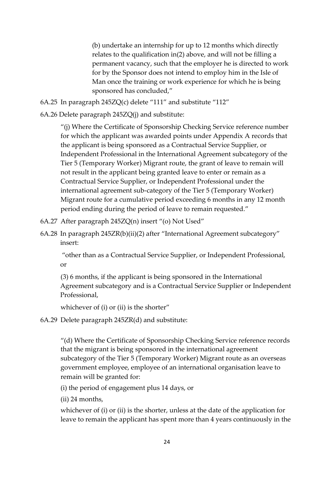(b) undertake an internship for up to 12 months which directly relates to the qualification in(2) above, and will not be filling a permanent vacancy, such that the employer he is directed to work for by the Sponsor does not intend to employ him in the Isle of Man once the training or work experience for which he is being sponsored has concluded,"

6A.25 In paragraph 245ZQ(c) delete "111" and substitute "112"

6A.26 Delete paragraph 245ZQ(j) and substitute:

"(j) Where the Certificate of Sponsorship Checking Service reference number for which the applicant was awarded points under Appendix A records that the applicant is being sponsored as a Contractual Service Supplier, or Independent Professional in the International Agreement subcategory of the Tier 5 (Temporary Worker) Migrant route, the grant of leave to remain will not result in the applicant being granted leave to enter or remain as a Contractual Service Supplier, or Independent Professional under the international agreement sub-category of the Tier 5 (Temporary Worker) Migrant route for a cumulative period exceeding 6 months in any 12 month period ending during the period of leave to remain requested."

- 6A.27 After paragraph 245ZQ(n) insert "(o) Not Used"
- 6A.28 In paragraph 245ZR(b)(ii)(2) after "International Agreement subcategory" insert:

"other than as a Contractual Service Supplier, or Independent Professional, or

(3) 6 months, if the applicant is being sponsored in the International Agreement subcategory and is a Contractual Service Supplier or Independent Professional,

whichever of (i) or (ii) is the shorter"

6A.29 Delete paragraph 245ZR(d) and substitute:

"(d) Where the Certificate of Sponsorship Checking Service reference records that the migrant is being sponsored in the international agreement subcategory of the Tier 5 (Temporary Worker) Migrant route as an overseas government employee, employee of an international organisation leave to remain will be granted for:

(i) the period of engagement plus 14 days, or

(ii) 24 months,

whichever of (i) or (ii) is the shorter, unless at the date of the application for leave to remain the applicant has spent more than 4 years continuously in the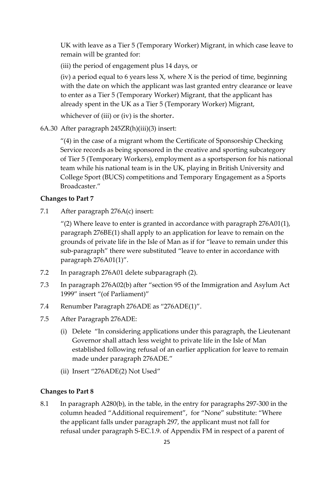UK with leave as a Tier 5 (Temporary Worker) Migrant, in which case leave to remain will be granted for:

(iii) the period of engagement plus 14 days, or

(iv) a period equal to 6 years less  $X$ , where  $X$  is the period of time, beginning with the date on which the applicant was last granted entry clearance or leave to enter as a Tier 5 (Temporary Worker) Migrant, that the applicant has already spent in the UK as a Tier 5 (Temporary Worker) Migrant,

whichever of (iii) or (iv) is the shorter.

6A.30 After paragraph 245ZR(h)(iii)(3) insert:

"(4) in the case of a migrant whom the Certificate of Sponsorship Checking Service records as being sponsored in the creative and sporting subcategory of Tier 5 (Temporary Workers), employment as a sportsperson for his national team while his national team is in the UK, playing in British University and College Sport (BUCS) competitions and Temporary Engagement as a Sports Broadcaster."

#### **Changes to Part 7**

7.1 After paragraph 276A(c) insert:

"(2) Where leave to enter is granted in accordance with paragraph  $276A01(1)$ , paragraph 276BE(1) shall apply to an application for leave to remain on the grounds of private life in the Isle of Man as if for "leave to remain under this sub-paragraph" there were substituted "leave to enter in accordance with paragraph 276A01(1)".

- 7.2 In paragraph 276A01 delete subparagraph (2).
- 7.3 In paragraph 276A02(b) after "section 95 of the Immigration and Asylum Act 1999" insert "(of Parliament)"
- 7.4 Renumber Paragraph 276ADE as "276ADE(1)".
- 7.5 After Paragraph 276ADE:
	- (i) Delete "In considering applications under this paragraph, the Lieutenant Governor shall attach less weight to private life in the Isle of Man established following refusal of an earlier application for leave to remain made under paragraph 276ADE."
	- (ii) Insert "276ADE(2) Not Used"

#### **Changes to Part 8**

8.1 In paragraph A280(b), in the table, in the entry for paragraphs 297-300 in the column headed "Additional requirement", for "None" substitute: "Where the applicant falls under paragraph 297, the applicant must not fall for refusal under paragraph S-EC.1.9. of Appendix FM in respect of a parent of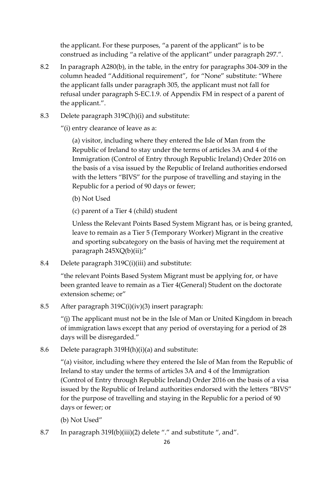the applicant. For these purposes, "a parent of the applicant" is to be construed as including "a relative of the applicant" under paragraph 297.".

- 8.2 In paragraph A280(b), in the table, in the entry for paragraphs 304-309 in the column headed "Additional requirement", for "None" substitute: "Where the applicant falls under paragraph 305, the applicant must not fall for refusal under paragraph S-EC.1.9. of Appendix FM in respect of a parent of the applicant.".
- 8.3 Delete paragraph 319C(h)(i) and substitute:

"(i) entry clearance of leave as a:

(a) visitor, including where they entered the Isle of Man from the Republic of Ireland to stay under the terms of articles 3A and 4 of the Immigration (Control of Entry through Republic Ireland) Order 2016 on the basis of a visa issued by the Republic of Ireland authorities endorsed with the letters "BIVS" for the purpose of travelling and staying in the Republic for a period of 90 days or fewer;

(b) Not Used

(c) parent of a Tier 4 (child) student

Unless the Relevant Points Based System Migrant has, or is being granted, leave to remain as a Tier 5 (Temporary Worker) Migrant in the creative and sporting subcategory on the basis of having met the requirement at paragraph 245XQ(b)(ii);"

8.4 Delete paragraph 319C(i)(iii) and substitute:

"the relevant Points Based System Migrant must be applying for, or have been granted leave to remain as a Tier 4(General) Student on the doctorate extension scheme; or"

8.5 After paragraph 319C(i)(iv)(3) insert paragraph:

"(j) The applicant must not be in the Isle of Man or United Kingdom in breach of immigration laws except that any period of overstaying for a period of 28 days will be disregarded."

8.6 Delete paragraph 319H(h)(i)(a) and substitute:

"(a) visitor, including where they entered the Isle of Man from the Republic of Ireland to stay under the terms of articles 3A and 4 of the Immigration (Control of Entry through Republic Ireland) Order 2016 on the basis of a visa issued by the Republic of Ireland authorities endorsed with the letters "BIVS" for the purpose of travelling and staying in the Republic for a period of 90 days or fewer; or

(b) Not Used"

8.7 In paragraph 319I(b)(iii)(2) delete "." and substitute ", and".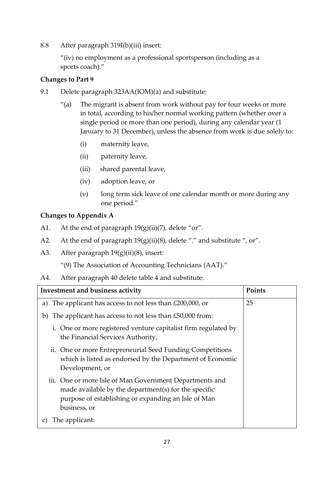8.8 After paragraph 319I(b)(iii) insert:

"(iv) no employment as a professional sportsperson (including as a sports coach)."

### **Changes to Part 9**

- 9.1 Delete paragraph 323AA(IOM)(a) and substitute:
	- "(a) The migrant is absent from work without pay for four weeks or more in total, according to his/her normal working pattern (whether over a single period or more than one period), during any calendar year (1 January to 31 December), unless the absence from work is due solely to:
		- (i) maternity leave,
		- (ii) paternity leave,
		- (iii) shared parental leave,
		- (iv) adoption leave, or
		- (v) long term sick leave of one calendar month or more during any one period."

### **Changes to Appendix A**

- A1. At the end of paragraph  $19(g)(ii)(7)$ , delete "or".
- A2. At the end of paragraph  $19(g)(ii)(8)$ , delete "." and substitute ", or".
- A3. After paragraph  $19(g)(ii)(8)$ , insert:

"(9) The Association of Accounting Technicians (AAT)."

A4. After paragraph 40 delete table 4 and substitute:

| Investment and business activity                                                                                                                                                       | Points |
|----------------------------------------------------------------------------------------------------------------------------------------------------------------------------------------|--------|
| a) The applicant has access to not less than $£200,000$ , or                                                                                                                           | 25     |
| b) The applicant has access to not less than $£50,000$ from:                                                                                                                           |        |
| i. One or more registered venture capitalist firm regulated by<br>the Financial Services Authority,                                                                                    |        |
| ii. One or more Entrepreneurial Seed Funding Competitions<br>which is listed as endorsed by the Department of Economic<br>Development, or                                              |        |
| iii. One or more Isle of Man Government Departments and<br>made available by the department(s) for the specific<br>purpose of establishing or expanding an Isle of Man<br>business, or |        |
| The applicant:                                                                                                                                                                         |        |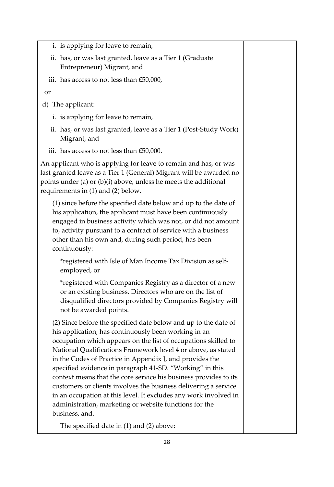- i. is applying for leave to remain,
- ii. has, or was last granted, leave as a Tier 1 (Graduate Entrepreneur) Migrant, and
- iii. has access to not less than £50,000,

or

- d) The applicant:
	- i. is applying for leave to remain,
	- ii. has, or was last granted, leave as a Tier 1 (Post-Study Work) Migrant, and
	- iii. has access to not less than £50,000.

An applicant who is applying for leave to remain and has, or was last granted leave as a Tier 1 (General) Migrant will be awarded no points under (a) or (b)(i) above, unless he meets the additional requirements in (1) and (2) below.

(1) since before the specified date below and up to the date of his application, the applicant must have been continuously engaged in business activity which was not, or did not amount to, activity pursuant to a contract of service with a business other than his own and, during such period, has been continuously:

\*registered with Isle of Man Income Tax Division as selfemployed, or

\*registered with Companies Registry as a director of a new or an existing business. Directors who are on the list of disqualified directors provided by Companies Registry will not be awarded points.

(2) Since before the specified date below and up to the date of his application, has continuously been working in an occupation which appears on the list of occupations skilled to National Qualifications Framework level 4 or above, as stated in the Codes of Practice in Appendix J, and provides the specified evidence in paragraph 41-SD. "Working" in this context means that the core service his business provides to its customers or clients involves the business delivering a service in an occupation at this level. It excludes any work involved in administration, marketing or website functions for the business, and.

The specified date in (1) and (2) above: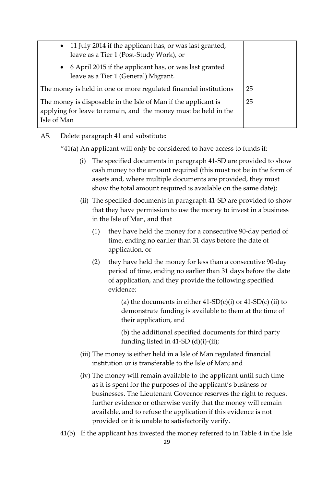| • 11 July 2014 if the applicant has, or was last granted,<br>leave as a Tier 1 (Post-Study Work), or                                             |    |
|--------------------------------------------------------------------------------------------------------------------------------------------------|----|
| • 6 April 2015 if the applicant has, or was last granted<br>leave as a Tier 1 (General) Migrant.                                                 |    |
| The money is held in one or more regulated financial institutions                                                                                | 25 |
| The money is disposable in the Isle of Man if the applicant is<br>applying for leave to remain, and the money must be held in the<br>Isle of Man | 25 |

### A5. Delete paragraph 41 and substitute:

"41(a) An applicant will only be considered to have access to funds if:

- (i) The specified documents in paragraph 41-SD are provided to show cash money to the amount required (this must not be in the form of assets and, where multiple documents are provided, they must show the total amount required is available on the same date);
- (ii) The specified documents in paragraph 41-SD are provided to show that they have permission to use the money to invest in a business in the Isle of Man, and that
	- (1) they have held the money for a consecutive 90-day period of time, ending no earlier than 31 days before the date of application, or
	- (2) they have held the money for less than a consecutive 90-day period of time, ending no earlier than 31 days before the date of application, and they provide the following specified evidence:

(a) the documents in either  $41-SD(c)(i)$  or  $41-SD(c)(ii)$  to demonstrate funding is available to them at the time of their application, and

(b) the additional specified documents for third party funding listed in  $41$ -SD (d)(i)-(ii);

- (iii) The money is either held in a Isle of Man regulated financial institution or is transferable to the Isle of Man; and
- (iv) The money will remain available to the applicant until such time as it is spent for the purposes of the applicant's business or businesses. The Lieutenant Governor reserves the right to request further evidence or otherwise verify that the money will remain available, and to refuse the application if this evidence is not provided or it is unable to satisfactorily verify.
- 41(b) If the applicant has invested the money referred to in Table 4 in the Isle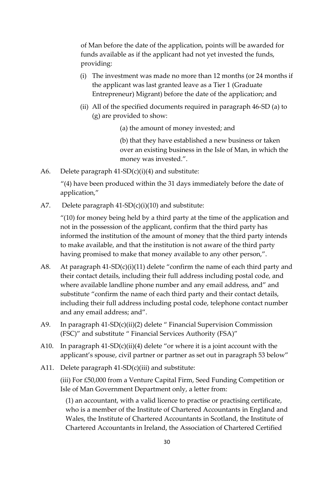of Man before the date of the application, points will be awarded for funds available as if the applicant had not yet invested the funds, providing:

- (i) The investment was made no more than 12 months (or 24 months if the applicant was last granted leave as a Tier 1 (Graduate Entrepreneur) Migrant) before the date of the application; and
- (ii) All of the specified documents required in paragraph 46-SD (a) to (g) are provided to show:
	- (a) the amount of money invested; and

(b) that they have established a new business or taken over an existing business in the Isle of Man, in which the money was invested.".

A6. Delete paragraph  $41-SD(c)(i)(4)$  and substitute:

"(4) have been produced within the 31 days immediately before the date of application,"

A7. Delete paragraph 41-SD(c)(i)(10) and substitute:

"(10) for money being held by a third party at the time of the application and not in the possession of the applicant, confirm that the third party has informed the institution of the amount of money that the third party intends to make available, and that the institution is not aware of the third party having promised to make that money available to any other person,".

- A8. At paragraph 41-SD(c)(i)(11) delete "confirm the name of each third party and their contact details, including their full address including postal code, and where available landline phone number and any email address, and" and substitute "confirm the name of each third party and their contact details, including their full address including postal code, telephone contact number and any email address; and".
- A9. In paragraph 41-SD(c)(ii)(2) delete " Financial Supervision Commission (FSC)" and substitute " Financial Services Authority (FSA)"
- A10. In paragraph  $41-SD(c)(ii)(4)$  delete "or where it is a joint account with the applicant's spouse, civil partner or partner as set out in paragraph 53 below"
- A11. Delete paragraph  $41-SD(c)(iii)$  and substitute:

(iii) For £50,000 from a Venture Capital Firm, Seed Funding Competition or Isle of Man Government Department only, a letter from:

(1) an accountant, with a valid licence to practise or practising certificate, who is a member of the Institute of Chartered Accountants in England and Wales, the Institute of Chartered Accountants in Scotland, the Institute of Chartered Accountants in Ireland, the Association of Chartered Certified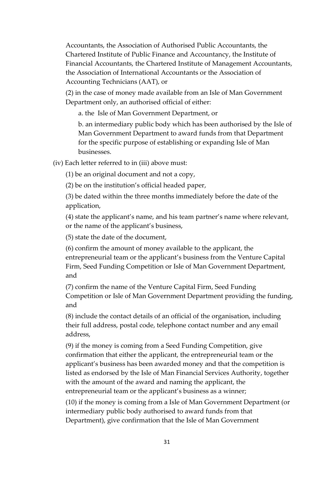Accountants, the Association of Authorised Public Accountants, the Chartered Institute of Public Finance and Accountancy, the Institute of Financial Accountants, the Chartered Institute of Management Accountants, the Association of International Accountants or the Association of Accounting Technicians (AAT), or

(2) in the case of money made available from an Isle of Man Government Department only, an authorised official of either:

a. the Isle of Man Government Department, or

b. an intermediary public body which has been authorised by the Isle of Man Government Department to award funds from that Department for the specific purpose of establishing or expanding Isle of Man businesses.

(iv) Each letter referred to in (iii) above must:

(1) be an original document and not a copy,

(2) be on the institution's official headed paper,

(3) be dated within the three months immediately before the date of the application,

(4) state the applicant's name, and his team partner's name where relevant, or the name of the applicant's business,

(5) state the date of the document,

(6) confirm the amount of money available to the applicant, the entrepreneurial team or the applicant's business from the Venture Capital Firm, Seed Funding Competition or Isle of Man Government Department, and

(7) confirm the name of the Venture Capital Firm, Seed Funding Competition or Isle of Man Government Department providing the funding, and

(8) include the contact details of an official of the organisation, including their full address, postal code, telephone contact number and any email address,

(9) if the money is coming from a Seed Funding Competition, give confirmation that either the applicant, the entrepreneurial team or the applicant's business has been awarded money and that the competition is listed as endorsed by the Isle of Man Financial Services Authority, together with the amount of the award and naming the applicant, the entrepreneurial team or the applicant's business as a winner;

(10) if the money is coming from a Isle of Man Government Department (or intermediary public body authorised to award funds from that Department), give confirmation that the Isle of Man Government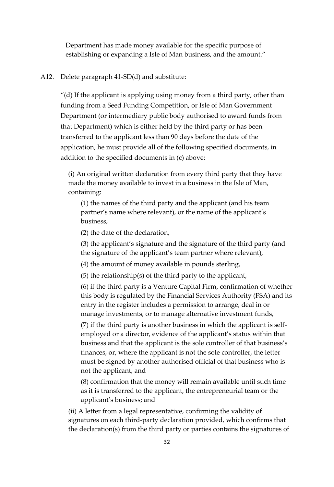Department has made money available for the specific purpose of establishing or expanding a Isle of Man business, and the amount."

#### A12. Delete paragraph 41-SD(d) and substitute:

"(d) If the applicant is applying using money from a third party, other than funding from a Seed Funding Competition, or Isle of Man Government Department (or intermediary public body authorised to award funds from that Department) which is either held by the third party or has been transferred to the applicant less than 90 days before the date of the application, he must provide all of the following specified documents, in addition to the specified documents in (c) above:

(i) An original written declaration from every third party that they have made the money available to invest in a business in the Isle of Man, containing:

(1) the names of the third party and the applicant (and his team partner's name where relevant), or the name of the applicant's business,

(2) the date of the declaration,

(3) the applicant's signature and the signature of the third party (and the signature of the applicant's team partner where relevant),

(4) the amount of money available in pounds sterling,

(5) the relationship(s) of the third party to the applicant,

(6) if the third party is a Venture Capital Firm, confirmation of whether this body is regulated by the Financial Services Authority (FSA) and its entry in the register includes a permission to arrange, deal in or manage investments, or to manage alternative investment funds,

(7) if the third party is another business in which the applicant is selfemployed or a director, evidence of the applicant's status within that business and that the applicant is the sole controller of that business's finances, or, where the applicant is not the sole controller, the letter must be signed by another authorised official of that business who is not the applicant, and

(8) confirmation that the money will remain available until such time as it is transferred to the applicant, the entrepreneurial team or the applicant's business; and

(ii) A letter from a legal representative, confirming the validity of signatures on each third-party declaration provided, which confirms that the declaration(s) from the third party or parties contains the signatures of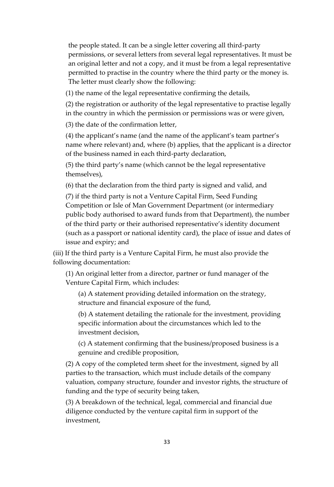the people stated. It can be a single letter covering all third-party permissions, or several letters from several legal representatives. It must be an original letter and not a copy, and it must be from a legal representative permitted to practise in the country where the third party or the money is. The letter must clearly show the following:

(1) the name of the legal representative confirming the details,

(2) the registration or authority of the legal representative to practise legally in the country in which the permission or permissions was or were given,

(3) the date of the confirmation letter,

(4) the applicant's name (and the name of the applicant's team partner's name where relevant) and, where (b) applies, that the applicant is a director of the business named in each third-party declaration,

(5) the third party's name (which cannot be the legal representative themselves),

(6) that the declaration from the third party is signed and valid, and

(7) if the third party is not a Venture Capital Firm, Seed Funding Competition or Isle of Man Government Department (or intermediary public body authorised to award funds from that Department), the number of the third party or their authorised representative's identity document (such as a passport or national identity card), the place of issue and dates of issue and expiry; and

(iii) If the third party is a Venture Capital Firm, he must also provide the following documentation:

(1) An original letter from a director, partner or fund manager of the Venture Capital Firm, which includes:

(a) A statement providing detailed information on the strategy, structure and financial exposure of the fund,

(b) A statement detailing the rationale for the investment, providing specific information about the circumstances which led to the investment decision,

(c) A statement confirming that the business/proposed business is a genuine and credible proposition,

(2) A copy of the completed term sheet for the investment, signed by all parties to the transaction, which must include details of the company valuation, company structure, founder and investor rights, the structure of funding and the type of security being taken,

(3) A breakdown of the technical, legal, commercial and financial due diligence conducted by the venture capital firm in support of the investment,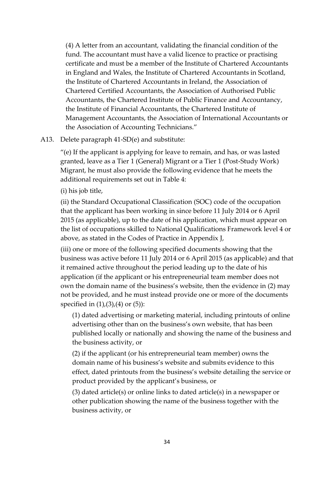(4) A letter from an accountant, validating the financial condition of the fund. The accountant must have a valid licence to practice or practising certificate and must be a member of the Institute of Chartered Accountants in England and Wales, the Institute of Chartered Accountants in Scotland, the Institute of Chartered Accountants in Ireland, the Association of Chartered Certified Accountants, the Association of Authorised Public Accountants, the Chartered Institute of Public Finance and Accountancy, the Institute of Financial Accountants, the Chartered Institute of Management Accountants, the Association of International Accountants or the Association of Accounting Technicians."

#### A13. Delete paragraph 41-SD(e) and substitute:

"(e) If the applicant is applying for leave to remain, and has, or was lasted granted, leave as a Tier 1 (General) Migrant or a Tier 1 (Post-Study Work) Migrant, he must also provide the following evidence that he meets the additional requirements set out in Table 4:

(i) his job title,

(ii) the Standard Occupational Classification (SOC) code of the occupation that the applicant has been working in since before 11 July 2014 or 6 April 2015 (as applicable), up to the date of his application, which must appear on the list of occupations skilled to National Qualifications Framework level 4 or above, as stated in the Codes of Practice in Appendix J,

(iii) one or more of the following specified documents showing that the business was active before 11 July 2014 or 6 April 2015 (as applicable) and that it remained active throughout the period leading up to the date of his application (if the applicant or his entrepreneurial team member does not own the domain name of the business's website, then the evidence in (2) may not be provided, and he must instead provide one or more of the documents specified in  $(1)$ , $(3)$ , $(4)$  or  $(5)$ ):

(1) dated advertising or marketing material, including printouts of online advertising other than on the business's own website, that has been published locally or nationally and showing the name of the business and the business activity, or

(2) if the applicant (or his entrepreneurial team member) owns the domain name of his business's website and submits evidence to this effect, dated printouts from the business's website detailing the service or product provided by the applicant's business, or

(3) dated article(s) or online links to dated article(s) in a newspaper or other publication showing the name of the business together with the business activity, or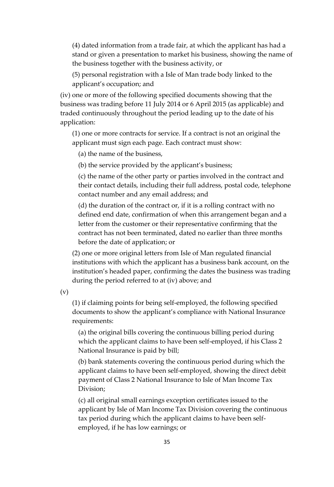(4) dated information from a trade fair, at which the applicant has had a stand or given a presentation to market his business, showing the name of the business together with the business activity, or

(5) personal registration with a Isle of Man trade body linked to the applicant's occupation; and

(iv) one or more of the following specified documents showing that the business was trading before 11 July 2014 or 6 April 2015 (as applicable) and traded continuously throughout the period leading up to the date of his application:

(1) one or more contracts for service. If a contract is not an original the applicant must sign each page. Each contract must show:

(a) the name of the business,

(b) the service provided by the applicant's business;

(c) the name of the other party or parties involved in the contract and their contact details, including their full address, postal code, telephone contact number and any email address; and

(d) the duration of the contract or, if it is a rolling contract with no defined end date, confirmation of when this arrangement began and a letter from the customer or their representative confirming that the contract has not been terminated, dated no earlier than three months before the date of application; or

(2) one or more original letters from Isle of Man regulated financial institutions with which the applicant has a business bank account, on the institution's headed paper, confirming the dates the business was trading during the period referred to at (iv) above; and

(v)

(1) if claiming points for being self-employed, the following specified documents to show the applicant's compliance with National Insurance requirements:

(a) the original bills covering the continuous billing period during which the applicant claims to have been self-employed, if his Class 2 National Insurance is paid by bill;

(b) bank statements covering the continuous period during which the applicant claims to have been self-employed, showing the direct debit payment of Class 2 National Insurance to Isle of Man Income Tax Division;

(c) all original small earnings exception certificates issued to the applicant by Isle of Man Income Tax Division covering the continuous tax period during which the applicant claims to have been selfemployed, if he has low earnings; or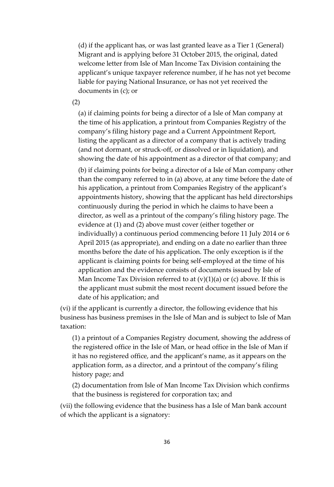(d) if the applicant has, or was last granted leave as a Tier 1 (General) Migrant and is applying before 31 October 2015, the original, dated welcome letter from Isle of Man Income Tax Division containing the applicant's unique taxpayer reference number, if he has not yet become liable for paying National Insurance, or has not yet received the documents in (c); or

(2)

(a) if claiming points for being a director of a Isle of Man company at the time of his application, a printout from Companies Registry of the company's filing history page and a Current Appointment Report, listing the applicant as a director of a company that is actively trading (and not dormant, or struck-off, or dissolved or in liquidation), and showing the date of his appointment as a director of that company; and

(b) if claiming points for being a director of a Isle of Man company other than the company referred to in (a) above, at any time before the date of his application, a printout from Companies Registry of the applicant's appointments history, showing that the applicant has held directorships continuously during the period in which he claims to have been a director, as well as a printout of the company's filing history page. The evidence at (1) and (2) above must cover (either together or individually) a continuous period commencing before 11 July 2014 or 6 April 2015 (as appropriate), and ending on a date no earlier than three months before the date of his application. The only exception is if the applicant is claiming points for being self-employed at the time of his application and the evidence consists of documents issued by Isle of Man Income Tax Division referred to at  $(v)(1)(a)$  or  $(c)$  above. If this is the applicant must submit the most recent document issued before the date of his application; and

(vi) if the applicant is currently a director, the following evidence that his business has business premises in the Isle of Man and is subject to Isle of Man taxation:

(1) a printout of a Companies Registry document, showing the address of the registered office in the Isle of Man, or head office in the Isle of Man if it has no registered office, and the applicant's name, as it appears on the application form, as a director, and a printout of the company's filing history page; and

(2) documentation from Isle of Man Income Tax Division which confirms that the business is registered for corporation tax; and

(vii) the following evidence that the business has a Isle of Man bank account of which the applicant is a signatory: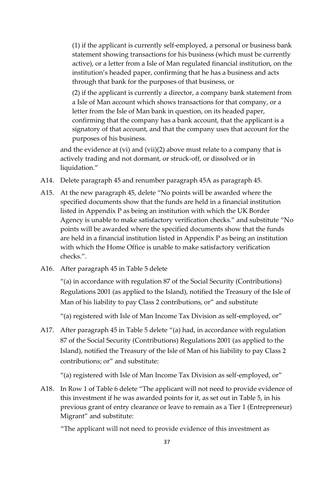(1) if the applicant is currently self-employed, a personal or business bank statement showing transactions for his business (which must be currently active), or a letter from a Isle of Man regulated financial institution, on the institution's headed paper, confirming that he has a business and acts through that bank for the purposes of that business, or

(2) if the applicant is currently a director, a company bank statement from a Isle of Man account which shows transactions for that company, or a letter from the Isle of Man bank in question, on its headed paper, confirming that the company has a bank account, that the applicant is a signatory of that account, and that the company uses that account for the purposes of his business.

and the evidence at (vi) and (vii)(2) above must relate to a company that is actively trading and not dormant, or struck-off, or dissolved or in liquidation."

- A14. Delete paragraph 45 and renumber paragraph 45A as paragraph 45.
- A15. At the new paragraph 45, delete "No points will be awarded where the specified documents show that the funds are held in a financial institution listed in Appendix P as being an institution with which the UK Border Agency is unable to make satisfactory verification checks." and substitute "No points will be awarded where the specified documents show that the funds are held in a financial institution listed in Appendix P as being an institution with which the Home Office is unable to make satisfactory verification checks.".
- A16. After paragraph 45 in Table 5 delete

"(a) in accordance with regulation 87 of the Social Security (Contributions) Regulations 2001 (as applied to the Island), notified the Treasury of the Isle of Man of his liability to pay Class 2 contributions, or" and substitute

"(a) registered with Isle of Man Income Tax Division as self-employed, or"

A17. After paragraph 45 in Table 5 delete "(a) had, in accordance with regulation 87 of the Social Security (Contributions) Regulations 2001 (as applied to the Island), notified the Treasury of the Isle of Man of his liability to pay Class 2 contributions; or" and substitute:

"(a) registered with Isle of Man Income Tax Division as self-employed, or"

A18. In Row 1 of Table 6 delete "The applicant will not need to provide evidence of this investment if he was awarded points for it, as set out in Table 5, in his previous grant of entry clearance or leave to remain as a Tier 1 (Entrepreneur) Migrant" and substitute:

"The applicant will not need to provide evidence of this investment as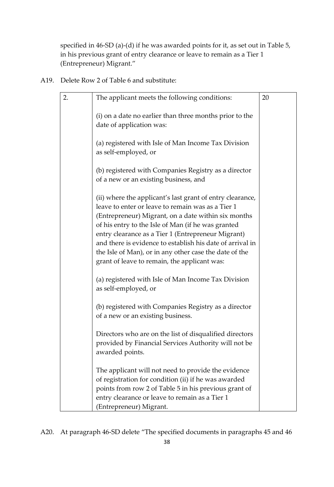specified in 46-SD (a)-(d) if he was awarded points for it, as set out in Table 5, in his previous grant of entry clearance or leave to remain as a Tier 1 (Entrepreneur) Migrant."

A19. Delete Row 2 of Table 6 and substitute:

| 2. | The applicant meets the following conditions:                                                                                                                                                                                                                                                                                                                                                                                                            | 20 |
|----|----------------------------------------------------------------------------------------------------------------------------------------------------------------------------------------------------------------------------------------------------------------------------------------------------------------------------------------------------------------------------------------------------------------------------------------------------------|----|
|    | (i) on a date no earlier than three months prior to the<br>date of application was:                                                                                                                                                                                                                                                                                                                                                                      |    |
|    | (a) registered with Isle of Man Income Tax Division<br>as self-employed, or                                                                                                                                                                                                                                                                                                                                                                              |    |
|    | (b) registered with Companies Registry as a director<br>of a new or an existing business, and                                                                                                                                                                                                                                                                                                                                                            |    |
|    | (ii) where the applicant's last grant of entry clearance,<br>leave to enter or leave to remain was as a Tier 1<br>(Entrepreneur) Migrant, on a date within six months<br>of his entry to the Isle of Man (if he was granted<br>entry clearance as a Tier 1 (Entrepreneur Migrant)<br>and there is evidence to establish his date of arrival in<br>the Isle of Man), or in any other case the date of the<br>grant of leave to remain, the applicant was: |    |
|    | (a) registered with Isle of Man Income Tax Division<br>as self-employed, or                                                                                                                                                                                                                                                                                                                                                                              |    |
|    | (b) registered with Companies Registry as a director<br>of a new or an existing business.                                                                                                                                                                                                                                                                                                                                                                |    |
|    | Directors who are on the list of disqualified directors<br>provided by Financial Services Authority will not be<br>awarded points.                                                                                                                                                                                                                                                                                                                       |    |
|    | The applicant will not need to provide the evidence<br>of registration for condition (ii) if he was awarded<br>points from row 2 of Table 5 in his previous grant of<br>entry clearance or leave to remain as a Tier 1<br>(Entrepreneur) Migrant.                                                                                                                                                                                                        |    |

A20. At paragraph 46-SD delete "The specified documents in paragraphs 45 and 46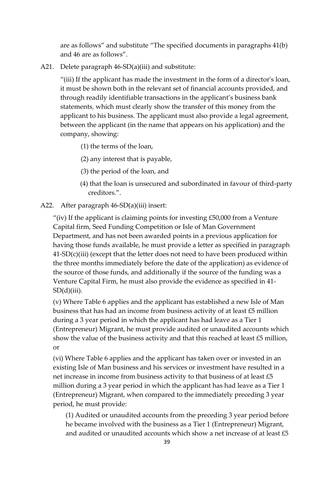are as follows" and substitute "The specified documents in paragraphs 41(b) and 46 are as follows".

A21. Delete paragraph 46-SD(a)(iii) and substitute:

"(iii) If the applicant has made the investment in the form of a director's loan, it must be shown both in the relevant set of financial accounts provided, and through readily identifiable transactions in the applicant's business bank statements, which must clearly show the transfer of this money from the applicant to his business. The applicant must also provide a legal agreement, between the applicant (in the name that appears on his application) and the company, showing:

- (1) the terms of the loan,
- (2) any interest that is payable,
- (3) the period of the loan, and
- (4) that the loan is unsecured and subordinated in favour of third-party creditors.".

A22. After paragraph 46-SD(a)(iii) insert:

"(iv) If the applicant is claiming points for investing  $£50,000$  from a Venture Capital firm, Seed Funding Competition or Isle of Man Government Department, and has not been awarded points in a previous application for having those funds available, he must provide a letter as specified in paragraph  $41-SD(c)(iii)$  (except that the letter does not need to have been produced within the three months immediately before the date of the application) as evidence of the source of those funds, and additionally if the source of the funding was a Venture Capital Firm, he must also provide the evidence as specified in 41-  $SD(d)(iii)$ .

(v) Where Table 6 applies and the applicant has established a new Isle of Man business that has had an income from business activity of at least £5 million during a 3 year period in which the applicant has had leave as a Tier 1 (Entrepreneur) Migrant, he must provide audited or unaudited accounts which show the value of the business activity and that this reached at least £5 million, or

(vi) Where Table 6 applies and the applicant has taken over or invested in an existing Isle of Man business and his services or investment have resulted in a net increase in income from business activity to that business of at least £5 million during a 3 year period in which the applicant has had leave as a Tier 1 (Entrepreneur) Migrant, when compared to the immediately preceding 3 year period, he must provide:

(1) Audited or unaudited accounts from the preceding 3 year period before he became involved with the business as a Tier 1 (Entrepreneur) Migrant, and audited or unaudited accounts which show a net increase of at least £5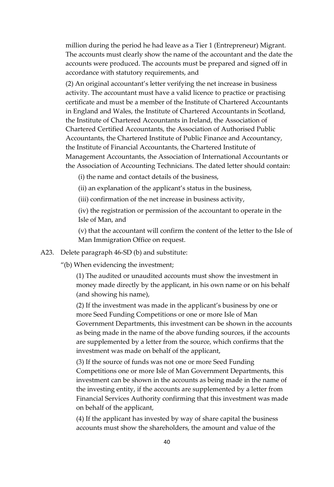million during the period he had leave as a Tier 1 (Entrepreneur) Migrant. The accounts must clearly show the name of the accountant and the date the accounts were produced. The accounts must be prepared and signed off in accordance with statutory requirements, and

(2) An original accountant's letter verifying the net increase in business activity. The accountant must have a valid licence to practice or practising certificate and must be a member of the Institute of Chartered Accountants in England and Wales, the Institute of Chartered Accountants in Scotland, the Institute of Chartered Accountants in Ireland, the Association of Chartered Certified Accountants, the Association of Authorised Public Accountants, the Chartered Institute of Public Finance and Accountancy, the Institute of Financial Accountants, the Chartered Institute of Management Accountants, the Association of International Accountants or the Association of Accounting Technicians. The dated letter should contain:

(i) the name and contact details of the business,

(ii) an explanation of the applicant's status in the business,

(iii) confirmation of the net increase in business activity,

(iv) the registration or permission of the accountant to operate in the Isle of Man, and

(v) that the accountant will confirm the content of the letter to the Isle of Man Immigration Office on request.

#### A23. Delete paragraph 46-SD (b) and substitute:

"(b) When evidencing the investment;

(1) The audited or unaudited accounts must show the investment in money made directly by the applicant, in his own name or on his behalf (and showing his name),

(2) If the investment was made in the applicant's business by one or more Seed Funding Competitions or one or more Isle of Man Government Departments, this investment can be shown in the accounts as being made in the name of the above funding sources, if the accounts are supplemented by a letter from the source, which confirms that the investment was made on behalf of the applicant,

(3) If the source of funds was not one or more Seed Funding Competitions one or more Isle of Man Government Departments, this investment can be shown in the accounts as being made in the name of the investing entity, if the accounts are supplemented by a letter from Financial Services Authority confirming that this investment was made on behalf of the applicant,

(4) If the applicant has invested by way of share capital the business accounts must show the shareholders, the amount and value of the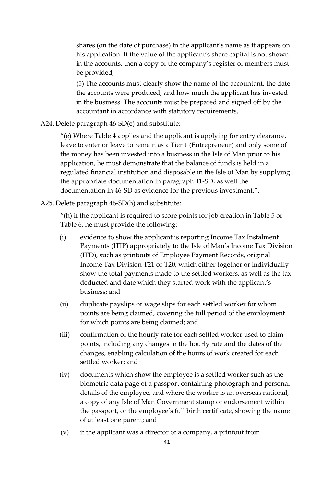shares (on the date of purchase) in the applicant's name as it appears on his application. If the value of the applicant's share capital is not shown in the accounts, then a copy of the company's register of members must be provided,

(5) The accounts must clearly show the name of the accountant, the date the accounts were produced, and how much the applicant has invested in the business. The accounts must be prepared and signed off by the accountant in accordance with statutory requirements,

### A24. Delete paragraph 46-SD(e) and substitute:

"(e) Where Table 4 applies and the applicant is applying for entry clearance, leave to enter or leave to remain as a Tier 1 (Entrepreneur) and only some of the money has been invested into a business in the Isle of Man prior to his application, he must demonstrate that the balance of funds is held in a regulated financial institution and disposable in the Isle of Man by supplying the appropriate documentation in paragraph 41-SD, as well the documentation in 46-SD as evidence for the previous investment.".

### A25. Delete paragraph 46-SD(h) and substitute:

"(h) if the applicant is required to score points for job creation in Table 5 or Table 6, he must provide the following:

- (i) evidence to show the applicant is reporting Income Tax Instalment Payments (ITIP) appropriately to the Isle of Man's Income Tax Division (ITD), such as printouts of Employee Payment Records, original Income Tax Division T21 or T20, which either together or individually show the total payments made to the settled workers, as well as the tax deducted and date which they started work with the applicant's business; and
- (ii) duplicate payslips or wage slips for each settled worker for whom points are being claimed, covering the full period of the employment for which points are being claimed; and
- (iii) confirmation of the hourly rate for each settled worker used to claim points, including any changes in the hourly rate and the dates of the changes, enabling calculation of the hours of work created for each settled worker; and
- (iv) documents which show the employee is a settled worker such as the biometric data page of a passport containing photograph and personal details of the employee, and where the worker is an overseas national, a copy of any Isle of Man Government stamp or endorsement within the passport, or the employee's full birth certificate, showing the name of at least one parent; and
- (v) if the applicant was a director of a company, a printout from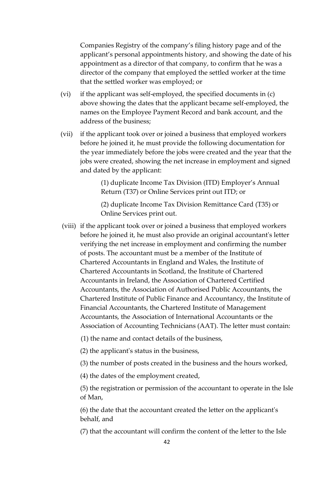Companies Registry of the company's filing history page and of the applicant's personal appointments history, and showing the date of his appointment as a director of that company, to confirm that he was a director of the company that employed the settled worker at the time that the settled worker was employed; or

- (vi) if the applicant was self-employed, the specified documents in (c) above showing the dates that the applicant became self-employed, the names on the Employee Payment Record and bank account, and the address of the business;
- (vii) if the applicant took over or joined a business that employed workers before he joined it, he must provide the following documentation for the year immediately before the jobs were created and the year that the jobs were created, showing the net increase in employment and signed and dated by the applicant:

(1) duplicate Income Tax Division (ITD) Employer's Annual Return (T37) or Online Services print out ITD; or

(2) duplicate Income Tax Division Remittance Card (T35) or Online Services print out.

(viii) if the applicant took over or joined a business that employed workers before he joined it, he must also provide an original accountant's letter verifying the net increase in employment and confirming the number of posts. The accountant must be a member of the Institute of Chartered Accountants in England and Wales, the Institute of Chartered Accountants in Scotland, the Institute of Chartered Accountants in Ireland, the Association of Chartered Certified Accountants, the Association of Authorised Public Accountants, the Chartered Institute of Public Finance and Accountancy, the Institute of Financial Accountants, the Chartered Institute of Management Accountants, the Association of International Accountants or the Association of Accounting Technicians (AAT). The letter must contain:

(1) the name and contact details of the business,

(2) the applicant's status in the business,

(3) the number of posts created in the business and the hours worked,

(4) the dates of the employment created,

(5) the registration or permission of the accountant to operate in the Isle of Man,

(6) the date that the accountant created the letter on the applicant's behalf, and

(7) that the accountant will confirm the content of the letter to the Isle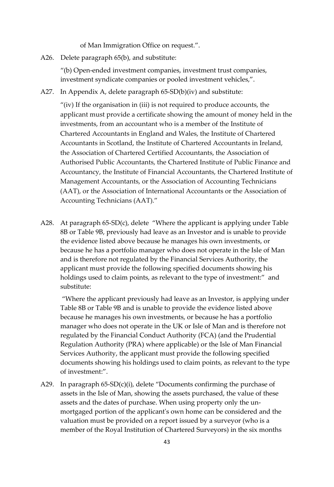of Man Immigration Office on request.".

A26. Delete paragraph 65(b), and substitute:

"(b) Open-ended investment companies, investment trust companies, investment syndicate companies or pooled investment vehicles,".

A27. In Appendix A, delete paragraph 65-SD(b)(iv) and substitute:

"(iv) If the organisation in (iii) is not required to produce accounts, the applicant must provide a certificate showing the amount of money held in the investments, from an accountant who is a member of the Institute of Chartered Accountants in England and Wales, the Institute of Chartered Accountants in Scotland, the Institute of Chartered Accountants in Ireland, the Association of Chartered Certified Accountants, the Association of Authorised Public Accountants, the Chartered Institute of Public Finance and Accountancy, the Institute of Financial Accountants, the Chartered Institute of Management Accountants, or the Association of Accounting Technicians (AAT), or the Association of International Accountants or the Association of Accounting Technicians (AAT)."

A28. At paragraph 65-SD(c), delete "Where the applicant is applying under Table 8B or Table 9B, previously had leave as an Investor and is unable to provide the evidence listed above because he manages his own investments, or because he has a portfolio manager who does not operate in the Isle of Man and is therefore not regulated by the Financial Services Authority, the applicant must provide the following specified documents showing his holdings used to claim points, as relevant to the type of investment:" and substitute:

"Where the applicant previously had leave as an Investor, is applying under Table 8B or Table 9B and is unable to provide the evidence listed above because he manages his own investments, or because he has a portfolio manager who does not operate in the UK or Isle of Man and is therefore not regulated by the Financial Conduct Authority (FCA) (and the Prudential Regulation Authority (PRA) where applicable) or the Isle of Man Financial Services Authority, the applicant must provide the following specified documents showing his holdings used to claim points, as relevant to the type of investment:".

A29. In paragraph  $65-SD(c)(i)$ , delete "Documents confirming the purchase of assets in the Isle of Man, showing the assets purchased, the value of these assets and the dates of purchase. When using property only the unmortgaged portion of the applicant's own home can be considered and the valuation must be provided on a report issued by a surveyor (who is a member of the Royal Institution of Chartered Surveyors) in the six months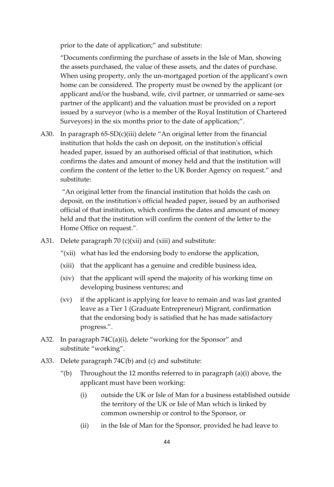prior to the date of application;" and substitute:

"Documents confirming the purchase of assets in the Isle of Man, showing the assets purchased, the value of these assets, and the dates of purchase. When using property, only the un-mortgaged portion of the applicant's own home can be considered. The property must be owned by the applicant (or applicant and/or the husband, wife, civil partner, or unmarried or same-sex partner of the applicant) and the valuation must be provided on a report issued by a surveyor (who is a member of the Royal Institution of Chartered Surveyors) in the six months prior to the date of application;".

A30. In paragraph 65-SD(c)(iii) delete "An original letter from the financial institution that holds the cash on deposit, on the institution's official headed paper, issued by an authorised official of that institution, which confirms the dates and amount of money held and that the institution will confirm the content of the letter to the UK Border Agency on request." and substitute:

"An original letter from the financial institution that holds the cash on deposit, on the institution's official headed paper, issued by an authorised official of that institution, which confirms the dates and amount of money held and that the institution will confirm the content of the letter to the Home Office on request.".

- A31. Delete paragraph 70 (c)(xii) and (xiii) and substitute:
	- "(xii) what has led the endorsing body to endorse the application,
	- (xiii) that the applicant has a genuine and credible business idea,
	- (xiv) that the applicant will spend the majority of his working time on developing business ventures; and
	- (xv) if the applicant is applying for leave to remain and was last granted leave as a Tier 1 (Graduate Entrepreneur) Migrant, confirmation that the endorsing body is satisfied that he has made satisfactory progress.".
- A32. In paragraph 74C(a)(i), delete "working for the Sponsor" and substitute "working".
- A33. Delete paragraph 74C(b) and (c) and substitute:
	- "(b) Throughout the 12 months referred to in paragraph  $(a)(i)$  above, the applicant must have been working:
		- (i) outside the UK or Isle of Man for a business established outside the territory of the UK or Isle of Man which is linked by common ownership or control to the Sponsor, or
		- (ii) in the Isle of Man for the Sponsor, provided he had leave to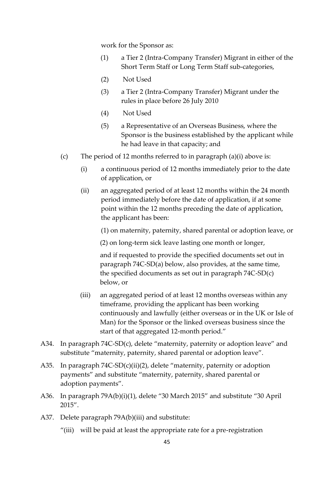work for the Sponsor as:

- (1) a Tier 2 (Intra-Company Transfer) Migrant in either of the Short Term Staff or Long Term Staff sub-categories,
- (2) Not Used
- (3) a Tier 2 (Intra-Company Transfer) Migrant under the rules in place before 26 July 2010
- (4) Not Used
- (5) a Representative of an Overseas Business, where the Sponsor is the business established by the applicant while he had leave in that capacity; and
- (c) The period of 12 months referred to in paragraph (a)(i) above is:
	- (i) a continuous period of 12 months immediately prior to the date of application, or
	- (ii) an aggregated period of at least 12 months within the 24 month period immediately before the date of application, if at some point within the 12 months preceding the date of application, the applicant has been:

(1) on maternity, paternity, shared parental or adoption leave, or

(2) on long-term sick leave lasting one month or longer,

and if requested to provide the specified documents set out in paragraph 74C-SD(a) below, also provides, at the same time, the specified documents as set out in paragraph 74C-SD(c) below, or

- (iii) an aggregated period of at least 12 months overseas within any timeframe, providing the applicant has been working continuously and lawfully (either overseas or in the UK or Isle of Man) for the Sponsor or the linked overseas business since the start of that aggregated 12-month period."
- A34. In paragraph 74C-SD(c), delete "maternity, paternity or adoption leave" and substitute "maternity, paternity, shared parental or adoption leave".
- A35. In paragraph 74C-SD(c)(ii)(2), delete "maternity, paternity or adoption payments" and substitute "maternity, paternity, shared parental or adoption payments".
- A36. In paragraph 79A(b)(i)(1), delete "30 March 2015" and substitute "30 April 2015".
- A37. Delete paragraph 79A(b)(iii) and substitute:
	- "(iii) will be paid at least the appropriate rate for a pre-registration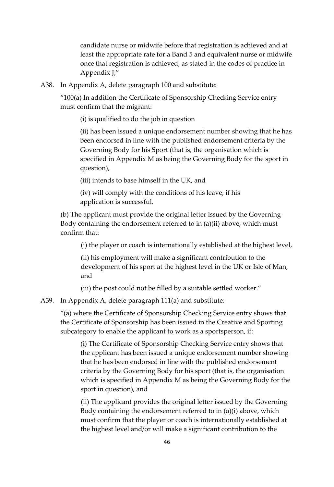candidate nurse or midwife before that registration is achieved and at least the appropriate rate for a Band 5 and equivalent nurse or midwife once that registration is achieved, as stated in the codes of practice in Appendix J;"

A38. In Appendix A, delete paragraph 100 and substitute:

"100(a) In addition the Certificate of Sponsorship Checking Service entry must confirm that the migrant:

(i) is qualified to do the job in question

(ii) has been issued a unique endorsement number showing that he has been endorsed in line with the published endorsement criteria by the Governing Body for his Sport (that is, the organisation which is specified in Appendix M as being the Governing Body for the sport in question),

(iii) intends to base himself in the UK, and

(iv) will comply with the conditions of his leave, if his application is successful.

(b) The applicant must provide the original letter issued by the Governing Body containing the endorsement referred to in (a)(ii) above, which must confirm that:

(i) the player or coach is internationally established at the highest level,

(ii) his employment will make a significant contribution to the development of his sport at the highest level in the UK or Isle of Man, and

(iii) the post could not be filled by a suitable settled worker."

A39. In Appendix A, delete paragraph 111(a) and substitute:

"(a) where the Certificate of Sponsorship Checking Service entry shows that the Certificate of Sponsorship has been issued in the Creative and Sporting subcategory to enable the applicant to work as a sportsperson, if:

(i) The Certificate of Sponsorship Checking Service entry shows that the applicant has been issued a unique endorsement number showing that he has been endorsed in line with the published endorsement criteria by the Governing Body for his sport (that is, the organisation which is specified in Appendix M as being the Governing Body for the sport in question), and

(ii) The applicant provides the original letter issued by the Governing Body containing the endorsement referred to in (a)(i) above, which must confirm that the player or coach is internationally established at the highest level and/or will make a significant contribution to the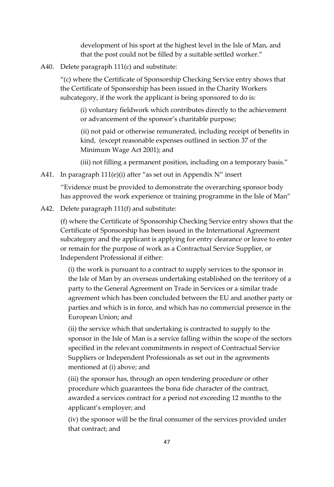development of his sport at the highest level in the Isle of Man, and that the post could not be filled by a suitable settled worker."

A40. Delete paragraph 111(c) and substitute:

"(c) where the Certificate of Sponsorship Checking Service entry shows that the Certificate of Sponsorship has been issued in the Charity Workers subcategory, if the work the applicant is being sponsored to do is:

(i) voluntary fieldwork which contributes directly to the achievement or advancement of the sponsor's charitable purpose;

(ii) not paid or otherwise remunerated, including receipt of benefits in kind, (except reasonable expenses outlined in section 37 of the Minimum Wage Act 2001); and

(iii) not filling a permanent position, including on a temporary basis."

A41. In paragraph 111(e)(i) after "as set out in Appendix N" insert

"Evidence must be provided to demonstrate the overarching sponsor body has approved the work experience or training programme in the Isle of Man"

A42. Delete paragraph 111(f) and substitute:

(f) where the Certificate of Sponsorship Checking Service entry shows that the Certificate of Sponsorship has been issued in the International Agreement subcategory and the applicant is applying for entry clearance or leave to enter or remain for the purpose of work as a Contractual Service Supplier, or Independent Professional if either:

(i) the work is pursuant to a contract to supply services to the sponsor in the Isle of Man by an overseas undertaking established on the territory of a party to the General Agreement on Trade in Services or a similar trade agreement which has been concluded between the EU and another party or parties and which is in force, and which has no commercial presence in the European Union; and

(ii) the service which that undertaking is contracted to supply to the sponsor in the Isle of Man is a service falling within the scope of the sectors specified in the relevant commitments in respect of Contractual Service Suppliers or Independent Professionals as set out in the agreements mentioned at (i) above; and

(iii) the sponsor has, through an open tendering procedure or other procedure which guarantees the bona fide character of the contract, awarded a services contract for a period not exceeding 12 months to the applicant's employer; and

(iv) the sponsor will be the final consumer of the services provided under that contract; and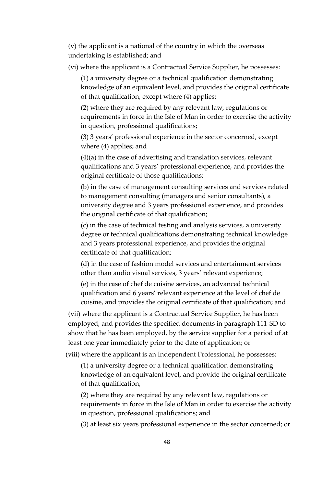(v) the applicant is a national of the country in which the overseas undertaking is established; and

(vi) where the applicant is a Contractual Service Supplier, he possesses:

(1) a university degree or a technical qualification demonstrating knowledge of an equivalent level, and provides the original certificate of that qualification, except where (4) applies;

(2) where they are required by any relevant law, regulations or requirements in force in the Isle of Man in order to exercise the activity in question, professional qualifications;

(3) 3 years' professional experience in the sector concerned, except where (4) applies; and

(4)(a) in the case of advertising and translation services, relevant qualifications and 3 years' professional experience, and provides the original certificate of those qualifications;

(b) in the case of management consulting services and services related to management consulting (managers and senior consultants), a university degree and 3 years professional experience, and provides the original certificate of that qualification;

(c) in the case of technical testing and analysis services, a university degree or technical qualifications demonstrating technical knowledge and 3 years professional experience, and provides the original certificate of that qualification;

(d) in the case of fashion model services and entertainment services other than audio visual services, 3 years' relevant experience;

(e) in the case of chef de cuisine services, an advanced technical qualification and 6 years' relevant experience at the level of chef de cuisine, and provides the original certificate of that qualification; and

(vii) where the applicant is a Contractual Service Supplier, he has been employed, and provides the specified documents in paragraph 111-SD to show that he has been employed, by the service supplier for a period of at least one year immediately prior to the date of application; or

(viii) where the applicant is an Independent Professional, he possesses:

(1) a university degree or a technical qualification demonstrating knowledge of an equivalent level, and provide the original certificate of that qualification,

(2) where they are required by any relevant law, regulations or requirements in force in the Isle of Man in order to exercise the activity in question, professional qualifications; and

(3) at least six years professional experience in the sector concerned; or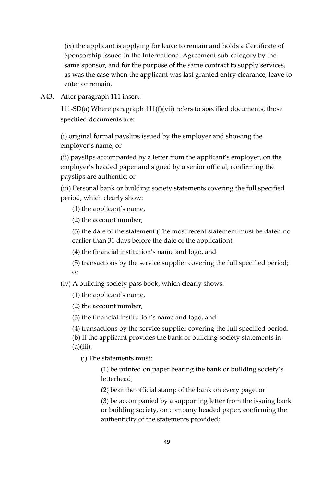(ix) the applicant is applying for leave to remain and holds a Certificate of Sponsorship issued in the International Agreement sub-category by the same sponsor, and for the purpose of the same contract to supply services, as was the case when the applicant was last granted entry clearance, leave to enter or remain.

A43. After paragraph 111 insert:

111-SD(a) Where paragraph 111(f)(vii) refers to specified documents, those specified documents are:

(i) original formal payslips issued by the employer and showing the employer's name; or

(ii) payslips accompanied by a letter from the applicant's employer, on the employer's headed paper and signed by a senior official, confirming the payslips are authentic; or

(iii) Personal bank or building society statements covering the full specified period, which clearly show:

(1) the applicant's name,

(2) the account number,

(3) the date of the statement (The most recent statement must be dated no earlier than 31 days before the date of the application),

(4) the financial institution's name and logo, and

(5) transactions by the service supplier covering the full specified period; or

(iv) A building society pass book, which clearly shows:

(1) the applicant's name,

(2) the account number,

(3) the financial institution's name and logo, and

(4) transactions by the service supplier covering the full specified period.

(b) If the applicant provides the bank or building society statements in  $(a)(iii)$ :

(i) The statements must:

(1) be printed on paper bearing the bank or building society's letterhead,

(2) bear the official stamp of the bank on every page, or

(3) be accompanied by a supporting letter from the issuing bank or building society, on company headed paper, confirming the authenticity of the statements provided;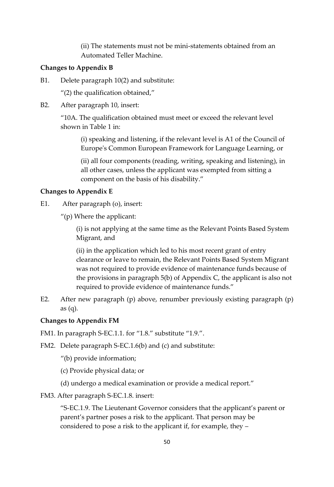(ii) The statements must not be mini-statements obtained from an Automated Teller Machine.

### **Changes to Appendix B**

B1. Delete paragraph 10(2) and substitute:

"(2) the qualification obtained,"

B2. After paragraph 10, insert:

"10A. The qualification obtained must meet or exceed the relevant level shown in Table 1 in:

(i) speaking and listening, if the relevant level is A1 of the Council of Europe's Common European Framework for Language Learning, or

(ii) all four components (reading, writing, speaking and listening), in all other cases, unless the applicant was exempted from sitting a component on the basis of his disability."

### **Changes to Appendix E**

- E1. After paragraph (o), insert:
	- "(p) Where the applicant:

(i) is not applying at the same time as the Relevant Points Based System Migrant, and

(ii) in the application which led to his most recent grant of entry clearance or leave to remain, the Relevant Points Based System Migrant was not required to provide evidence of maintenance funds because of the provisions in paragraph 5(b) of Appendix C, the applicant is also not required to provide evidence of maintenance funds."

E2. After new paragraph (p) above, renumber previously existing paragraph (p) as (q).

### **Changes to Appendix FM**

FM1. In paragraph S-EC.1.1. for "1.8." substitute "1.9.".

FM2. Delete paragraph S-EC.1.6(b) and (c) and substitute:

"(b) provide information;

(c) Provide physical data; or

(d) undergo a medical examination or provide a medical report."

FM3. After paragraph S-EC.1.8. insert:

"S-EC.1.9. The Lieutenant Governor considers that the applicant's parent or parent's partner poses a risk to the applicant. That person may be considered to pose a risk to the applicant if, for example, they –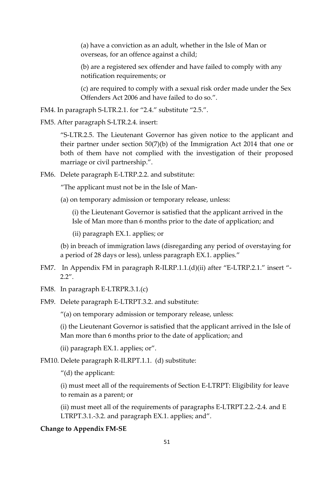(a) have a conviction as an adult, whether in the Isle of Man or overseas, for an offence against a child;

(b) are a registered sex offender and have failed to comply with any notification requirements; or

(c) are required to comply with a sexual risk order made under the Sex Offenders Act 2006 and have failed to do so.".

FM4. In paragraph S-LTR.2.1. for "2.4." substitute "2.5.".

FM5. After paragraph S-LTR.2.4. insert:

"S-LTR.2.5. The Lieutenant Governor has given notice to the applicant and their partner under section 50(7)(b) of the Immigration Act 2014 that one or both of them have not complied with the investigation of their proposed marriage or civil partnership.".

FM6. Delete paragraph E-LTRP.2.2. and substitute:

"The applicant must not be in the Isle of Man-

(a) on temporary admission or temporary release, unless:

(i) the Lieutenant Governor is satisfied that the applicant arrived in the Isle of Man more than 6 months prior to the date of application; and

(ii) paragraph EX.1. applies; or

(b) in breach of immigration laws (disregarding any period of overstaying for a period of 28 days or less), unless paragraph EX.1. applies."

- FM7. In Appendix FM in paragraph R-ILRP.1.1.(d)(ii) after "E-LTRP.2.1." insert "-  $2.2''$ .
- FM8. In paragraph E-LTRPR.3.1.(c)
- FM9. Delete paragraph E-LTRPT.3.2. and substitute:

"(a) on temporary admission or temporary release, unless:

(i) the Lieutenant Governor is satisfied that the applicant arrived in the Isle of Man more than 6 months prior to the date of application; and

(ii) paragraph EX.1. applies; or".

FM10. Delete paragraph R-ILRPT.1.1. (d) substitute:

"(d) the applicant:

(i) must meet all of the requirements of Section E-LTRPT: Eligibility for leave to remain as a parent; or

(ii) must meet all of the requirements of paragraphs E-LTRPT.2.2.-2.4. and E LTRPT.3.1.-3.2. and paragraph EX.1. applies; and".

#### **Change to Appendix FM-SE**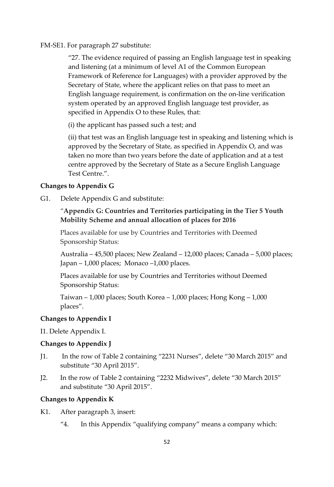#### FM-SE1. For paragraph 27 substitute:

"27. The evidence required of passing an English language test in speaking and listening (at a minimum of level A1 of the Common European Framework of Reference for Languages) with a provider approved by the Secretary of State, where the applicant relies on that pass to meet an English language requirement, is confirmation on the on-line verification system operated by an approved English language test provider, as specified in Appendix O to these Rules, that:

(i) the applicant has passed such a test; and

(ii) that test was an English language test in speaking and listening which is approved by the Secretary of State, as specified in Appendix O, and was taken no more than two years before the date of application and at a test centre approved by the Secretary of State as a Secure English Language Test Centre.".

#### **Changes to Appendix G**

G1. Delete Appendix G and substitute:

### "**Appendix G: Countries and Territories participating in the Tier 5 Youth Mobility Scheme and annual allocation of places for 2016**

Places available for use by Countries and Territories with Deemed Sponsorship Status:

Australia – 45,500 places; New Zealand – 12,000 places; Canada – 5,000 places; Japan – 1,000 places; Monaco –1,000 places.

Places available for use by Countries and Territories without Deemed Sponsorship Status:

Taiwan – 1,000 places; South Korea – 1,000 places; Hong Kong – 1,000 places".

#### **Changes to Appendix I**

I1. Delete Appendix I.

#### **Changes to Appendix J**

- J1. In the row of Table 2 containing "2231 Nurses", delete "30 March 2015" and substitute "30 April 2015".
- J2. In the row of Table 2 containing "2232 Midwives", delete "30 March 2015" and substitute "30 April 2015".

#### **Changes to Appendix K**

- K1. After paragraph 3, insert:
	- "4. In this Appendix "qualifying company" means a company which: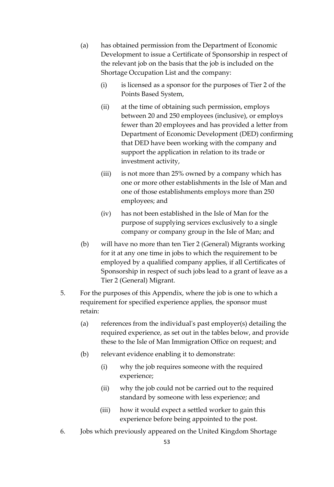- (a) has obtained permission from the Department of Economic Development to issue a Certificate of Sponsorship in respect of the relevant job on the basis that the job is included on the Shortage Occupation List and the company:
	- (i) is licensed as a sponsor for the purposes of Tier 2 of the Points Based System,
	- (ii) at the time of obtaining such permission, employs between 20 and 250 employees (inclusive), or employs fewer than 20 employees and has provided a letter from Department of Economic Development (DED) confirming that DED have been working with the company and support the application in relation to its trade or investment activity,
	- (iii) is not more than 25% owned by a company which has one or more other establishments in the Isle of Man and one of those establishments employs more than 250 employees; and
	- (iv) has not been established in the Isle of Man for the purpose of supplying services exclusively to a single company or company group in the Isle of Man; and
- (b) will have no more than ten Tier 2 (General) Migrants working for it at any one time in jobs to which the requirement to be employed by a qualified company applies, if all Certificates of Sponsorship in respect of such jobs lead to a grant of leave as a Tier 2 (General) Migrant.
- 5. For the purposes of this Appendix, where the job is one to which a requirement for specified experience applies, the sponsor must retain:
	- (a) references from the individual's past employer(s) detailing the required experience, as set out in the tables below, and provide these to the Isle of Man Immigration Office on request; and
	- (b) relevant evidence enabling it to demonstrate:
		- (i) why the job requires someone with the required experience;
		- (ii) why the job could not be carried out to the required standard by someone with less experience; and
		- (iii) how it would expect a settled worker to gain this experience before being appointed to the post.
- 6. Jobs which previously appeared on the United Kingdom Shortage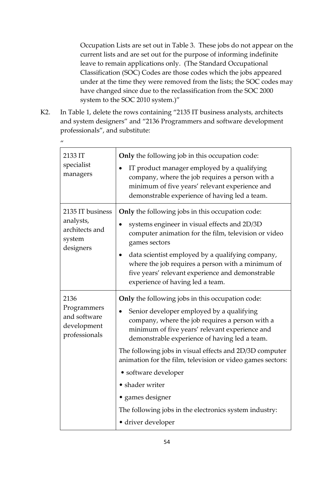Occupation Lists are set out in Table 3. These jobs do not appear on the current lists and are set out for the purpose of informing indefinite leave to remain applications only. (The Standard Occupational Classification (SOC) Codes are those codes which the jobs appeared under at the time they were removed from the lists; the SOC codes may have changed since due to the reclassification from the SOC 2000 system to the SOC 2010 system.)"

K2. In Table 1, delete the rows containing "2135 IT business analysts, architects and system designers" and "2136 Programmers and software development professionals", and substitute:

| $\prime\prime$                                                         |                                                                                                                                                                                                                                                                                                                                                                                                                                                                                                                             |
|------------------------------------------------------------------------|-----------------------------------------------------------------------------------------------------------------------------------------------------------------------------------------------------------------------------------------------------------------------------------------------------------------------------------------------------------------------------------------------------------------------------------------------------------------------------------------------------------------------------|
| 2133 IT<br>specialist<br>managers                                      | Only the following job in this occupation code:<br>IT product manager employed by a qualifying<br>$\bullet$<br>company, where the job requires a person with a<br>minimum of five years' relevant experience and<br>demonstrable experience of having led a team.                                                                                                                                                                                                                                                           |
| 2135 IT business<br>analysts,<br>architects and<br>system<br>designers | <b>Only</b> the following jobs in this occupation code:<br>systems engineer in visual effects and 2D/3D<br>computer animation for the film, television or video<br>games sectors<br>data scientist employed by a qualifying company,<br>$\bullet$<br>where the job requires a person with a minimum of<br>five years' relevant experience and demonstrable<br>experience of having led a team.                                                                                                                              |
| 2136<br>Programmers<br>and software<br>development<br>professionals    | Only the following jobs in this occupation code:<br>Senior developer employed by a qualifying<br>company, where the job requires a person with a<br>minimum of five years' relevant experience and<br>demonstrable experience of having led a team.<br>The following jobs in visual effects and 2D/3D computer<br>animation for the film, television or video games sectors:<br>• software developer<br>• shader writer<br>• games designer<br>The following jobs in the electronics system industry:<br>• driver developer |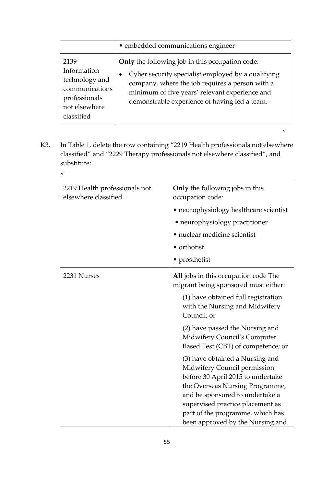|                                                                                                         | • embedded communications engineer                                                                                                                                                                                                                                       |
|---------------------------------------------------------------------------------------------------------|--------------------------------------------------------------------------------------------------------------------------------------------------------------------------------------------------------------------------------------------------------------------------|
| 2139<br>Information<br>technology and<br>communications<br>professionals<br>not elsewhere<br>classified | Only the following job in this occupation code:<br>Cyber security specialist employed by a qualifying<br>$\bullet$<br>company, where the job requires a person with a<br>minimum of five years' relevant experience and<br>demonstrable experience of having led a team. |

 $\boldsymbol{\eta}$ 

K3. In Table 1, delete the row containing "2219 Health professionals not elsewhere classified" and "2229 Therapy professionals not elsewhere classified", and substitute:

 $\mathbf{u}$ 

| 2219 Health professionals not<br>elsewhere classified | Only the following jobs in this<br>occupation code:<br>• neurophysiology healthcare scientist<br>• neurophysiology practitioner<br>· nuclear medicine scientist<br>• orthotist                                                                                                                                                                                                                                                                                                                                                                                          |
|-------------------------------------------------------|-------------------------------------------------------------------------------------------------------------------------------------------------------------------------------------------------------------------------------------------------------------------------------------------------------------------------------------------------------------------------------------------------------------------------------------------------------------------------------------------------------------------------------------------------------------------------|
|                                                       | • prosthetist                                                                                                                                                                                                                                                                                                                                                                                                                                                                                                                                                           |
| 2231 Nurses                                           | All jobs in this occupation code The<br>migrant being sponsored must either:<br>(1) have obtained full registration<br>with the Nursing and Midwifery<br>Council; or<br>(2) have passed the Nursing and<br>Midwifery Council's Computer<br>Based Test (CBT) of competence; or<br>(3) have obtained a Nursing and<br>Midwifery Council permission<br>before 30 April 2015 to undertake<br>the Overseas Nursing Programme,<br>and be sponsored to undertake a<br>supervised practice placement as<br>part of the programme, which has<br>been approved by the Nursing and |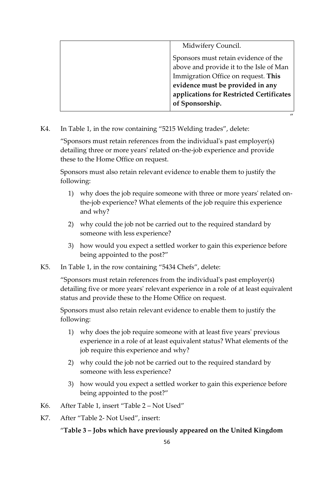| Midwifery Council.                       |
|------------------------------------------|
| Sponsors must retain evidence of the     |
| above and provide it to the Isle of Man  |
| Immigration Office on request. This      |
| evidence must be provided in any         |
| applications for Restricted Certificates |
| of Sponsorship.                          |
| $^{\prime\prime}$                        |

K4. In Table 1, in the row containing "5215 Welding trades", delete:

"Sponsors must retain references from the individual's past employer(s) detailing three or more years' related on-the-job experience and provide these to the Home Office on request.

Sponsors must also retain relevant evidence to enable them to justify the following:

- 1) why does the job require someone with three or more years' related onthe-job experience? What elements of the job require this experience and why?
- 2) why could the job not be carried out to the required standard by someone with less experience?
- 3) how would you expect a settled worker to gain this experience before being appointed to the post?"
- K5. In Table 1, in the row containing "5434 Chefs", delete:

"Sponsors must retain references from the individual's past employer(s) detailing five or more years' relevant experience in a role of at least equivalent status and provide these to the Home Office on request.

Sponsors must also retain relevant evidence to enable them to justify the following:

- 1) why does the job require someone with at least five years' previous experience in a role of at least equivalent status? What elements of the job require this experience and why?
- 2) why could the job not be carried out to the required standard by someone with less experience?
- 3) how would you expect a settled worker to gain this experience before being appointed to the post?"
- K6. After Table 1, insert "Table 2 Not Used"
- K7. After "Table 2- Not Used", insert:

### "**Table 3 – Jobs which have previously appeared on the United Kingdom**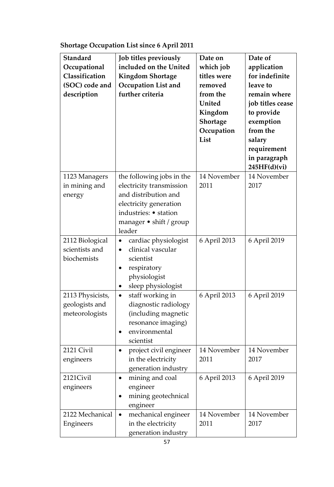| <b>Standard</b><br>Occupational<br>Classification<br>(SOC) code and<br>description | Job titles previously<br>included on the United<br><b>Kingdom Shortage</b><br>Occupation List and<br>further criteria                                                         | Date on<br>which job<br>titles were<br>removed<br>from the<br>United<br>Kingdom<br>Shortage<br>Occupation<br>List | Date of<br>application<br>for indefinite<br>leave to<br>remain where<br>job titles cease<br>to provide<br>exemption<br>from the<br>salary<br>requirement<br>in paragraph<br>245HF(d)(vi) |
|------------------------------------------------------------------------------------|-------------------------------------------------------------------------------------------------------------------------------------------------------------------------------|-------------------------------------------------------------------------------------------------------------------|------------------------------------------------------------------------------------------------------------------------------------------------------------------------------------------|
| 1123 Managers<br>in mining and<br>energy                                           | the following jobs in the<br>electricity transmission<br>and distribution and<br>electricity generation<br>industries: • station<br>manager $\bullet$ shift / group<br>leader | 14 November<br>2011                                                                                               | 14 November<br>2017                                                                                                                                                                      |
| 2112 Biological<br>scientists and<br>biochemists                                   | cardiac physiologist<br>$\bullet$<br>clinical vascular<br>$\bullet$<br>scientist<br>respiratory<br>physiologist<br>sleep physiologist                                         | 6 April 2013                                                                                                      | 6 April 2019                                                                                                                                                                             |
| 2113 Physicists,<br>geologists and<br>meteorologists                               | staff working in<br>diagnostic radiology<br>(including magnetic<br>resonance imaging)<br>environmental<br>٠<br>scientist                                                      | 6 April 2013                                                                                                      | 6 April 2019                                                                                                                                                                             |
| 2121 Civil<br>engineers                                                            | project civil engineer<br>in the electricity<br>generation industry                                                                                                           | 14 November<br>2011                                                                                               | 14 November<br>2017                                                                                                                                                                      |
| 2121Civil<br>engineers                                                             | mining and coal<br>$\bullet$<br>engineer<br>mining geotechnical<br>engineer                                                                                                   | 6 April 2013                                                                                                      | 6 April 2019                                                                                                                                                                             |
| 2122 Mechanical<br>Engineers                                                       | mechanical engineer<br>$\bullet$<br>in the electricity<br>generation industry                                                                                                 | 14 November<br>2011                                                                                               | 14 November<br>2017                                                                                                                                                                      |

# **Shortage Occupation List since 6 April 2011**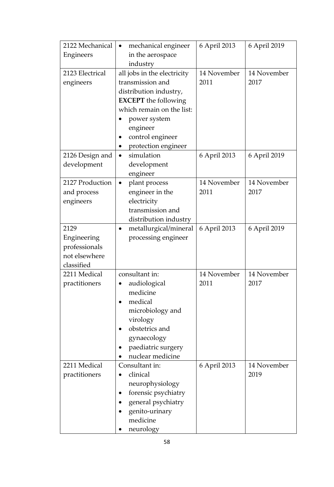| 2122 Mechanical | mechanical engineer<br>$\bullet$ | 6 April 2013 | 6 April 2019 |
|-----------------|----------------------------------|--------------|--------------|
| Engineers       | in the aerospace                 |              |              |
|                 | industry                         |              |              |
| 2123 Electrical | all jobs in the electricity      | 14 November  | 14 November  |
| engineers       | transmission and                 | 2011         | 2017         |
|                 | distribution industry,           |              |              |
|                 | <b>EXCEPT</b> the following      |              |              |
|                 | which remain on the list:        |              |              |
|                 | power system                     |              |              |
|                 | engineer                         |              |              |
|                 | control engineer                 |              |              |
|                 | protection engineer              |              |              |
| 2126 Design and | simulation<br>$\bullet$          | 6 April 2013 | 6 April 2019 |
| development     | development                      |              |              |
|                 | engineer                         |              |              |
| 2127 Production | plant process<br>$\bullet$       | 14 November  | 14 November  |
| and process     | engineer in the                  | 2011         | 2017         |
| engineers       | electricity                      |              |              |
|                 | transmission and                 |              |              |
|                 | distribution industry            |              |              |
| 2129            | metallurgical/mineral            | 6 April 2013 | 6 April 2019 |
| Engineering     | processing engineer              |              |              |
| professionals   |                                  |              |              |
| not elsewhere   |                                  |              |              |
| classified      |                                  |              |              |
| 2211 Medical    | consultant in:                   | 14 November  | 14 November  |
| practitioners   | audiological                     | 2011         | 2017         |
|                 | medicine                         |              |              |
|                 | medical                          |              |              |
|                 | microbiology and                 |              |              |
|                 | virology                         |              |              |
|                 | obstetrics and                   |              |              |
|                 | gynaecology                      |              |              |
|                 | paediatric surgery               |              |              |
|                 | nuclear medicine                 |              |              |
| 2211 Medical    | Consultant in:                   | 6 April 2013 | 14 November  |
| practitioners   | clinical                         |              | 2019         |
|                 | neurophysiology                  |              |              |
|                 | forensic psychiatry              |              |              |
|                 | general psychiatry               |              |              |
|                 | genito-urinary                   |              |              |
|                 | medicine                         |              |              |
|                 | neurology                        |              |              |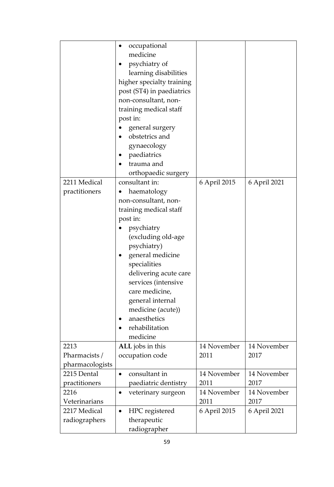|                 | occupational<br>$\bullet$<br>medicine<br>psychiatry of<br>learning disabilities<br>higher specialty training<br>post (ST4) in paediatrics<br>non-consultant, non-<br>training medical staff<br>post in:<br>general surgery<br>obstetrics and<br>gynaecology<br>paediatrics<br>trauma and<br>orthopaedic surgery |              |              |
|-----------------|-----------------------------------------------------------------------------------------------------------------------------------------------------------------------------------------------------------------------------------------------------------------------------------------------------------------|--------------|--------------|
| 2211 Medical    | consultant in:                                                                                                                                                                                                                                                                                                  | 6 April 2015 | 6 April 2021 |
| practitioners   | haematology                                                                                                                                                                                                                                                                                                     |              |              |
|                 | non-consultant, non-                                                                                                                                                                                                                                                                                            |              |              |
|                 | training medical staff                                                                                                                                                                                                                                                                                          |              |              |
|                 | post in:                                                                                                                                                                                                                                                                                                        |              |              |
|                 | psychiatry                                                                                                                                                                                                                                                                                                      |              |              |
|                 | (excluding old-age                                                                                                                                                                                                                                                                                              |              |              |
|                 | psychiatry)                                                                                                                                                                                                                                                                                                     |              |              |
|                 | general medicine<br>$\bullet$                                                                                                                                                                                                                                                                                   |              |              |
|                 | specialities                                                                                                                                                                                                                                                                                                    |              |              |
|                 | delivering acute care                                                                                                                                                                                                                                                                                           |              |              |
|                 | services (intensive                                                                                                                                                                                                                                                                                             |              |              |
|                 | care medicine,                                                                                                                                                                                                                                                                                                  |              |              |
|                 | general internal                                                                                                                                                                                                                                                                                                |              |              |
|                 | medicine (acute))                                                                                                                                                                                                                                                                                               |              |              |
|                 | anaesthetics                                                                                                                                                                                                                                                                                                    |              |              |
|                 | rehabilitation<br>$\bullet$                                                                                                                                                                                                                                                                                     |              |              |
|                 | medicine                                                                                                                                                                                                                                                                                                        |              |              |
| 2213            | ALL jobs in this                                                                                                                                                                                                                                                                                                | 14 November  | 14 November  |
| Pharmacists /   | occupation code                                                                                                                                                                                                                                                                                                 | 2011         | 2017         |
| pharmacologists |                                                                                                                                                                                                                                                                                                                 |              |              |
| 2215 Dental     | consultant in<br>$\bullet$                                                                                                                                                                                                                                                                                      | 14 November  | 14 November  |
| practitioners   | paediatric dentistry                                                                                                                                                                                                                                                                                            | 2011         | 2017         |
| 2216            | veterinary surgeon                                                                                                                                                                                                                                                                                              | 14 November  | 14 November  |
| Veterinarians   |                                                                                                                                                                                                                                                                                                                 | 2011         | 2017         |
| 2217 Medical    | HPC registered                                                                                                                                                                                                                                                                                                  | 6 April 2015 | 6 April 2021 |
| radiographers   | therapeutic                                                                                                                                                                                                                                                                                                     |              |              |
|                 | radiographer                                                                                                                                                                                                                                                                                                    |              |              |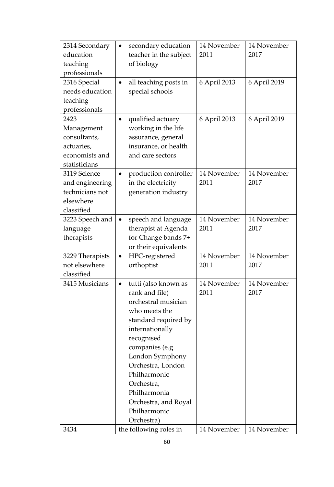| 2314 Secondary  | secondary education<br>$\bullet$   | 14 November  | 14 November  |
|-----------------|------------------------------------|--------------|--------------|
| education       | teacher in the subject             | 2011         | 2017         |
| teaching        | of biology                         |              |              |
| professionals   |                                    |              |              |
| 2316 Special    | all teaching posts in<br>$\bullet$ | 6 April 2013 | 6 April 2019 |
| needs education | special schools                    |              |              |
| teaching        |                                    |              |              |
| professionals   |                                    |              |              |
| 2423            | qualified actuary                  | 6 April 2013 | 6 April 2019 |
| Management      | working in the life                |              |              |
| consultants,    | assurance, general                 |              |              |
| actuaries,      | insurance, or health               |              |              |
| economists and  | and care sectors                   |              |              |
| statisticians   |                                    |              |              |
| 3119 Science    | production controller<br>$\bullet$ | 14 November  | 14 November  |
| and engineering | in the electricity                 | 2011         | 2017         |
| technicians not | generation industry                |              |              |
| elsewhere       |                                    |              |              |
| classified      |                                    |              |              |
| 3223 Speech and | speech and language<br>$\bullet$   | 14 November  | 14 November  |
| language        | therapist at Agenda                | 2011         | 2017         |
| therapists      | for Change bands 7+                |              |              |
|                 | or their equivalents               |              |              |
| 3229 Therapists | HPC-registered<br>$\bullet$        | 14 November  | 14 November  |
| not elsewhere   | orthoptist                         | 2011         | 2017         |
| classified      |                                    |              |              |
| 3415 Musicians  | tutti (also known as               | 14 November  | 14 November  |
|                 | rank and file)                     | 2011         | 2017         |
|                 | orchestral musician                |              |              |
|                 | who meets the                      |              |              |
|                 | standard required by               |              |              |
|                 | internationally                    |              |              |
|                 | recognised                         |              |              |
|                 | companies (e.g.                    |              |              |
|                 | London Symphony                    |              |              |
|                 | Orchestra, London                  |              |              |
|                 | Philharmonic                       |              |              |
|                 | Orchestra,                         |              |              |
|                 | Philharmonia                       |              |              |
|                 | Orchestra, and Royal               |              |              |
|                 | Philharmonic                       |              |              |
|                 | Orchestra)                         |              |              |
| 3434            | the following roles in             | 14 November  | 14 November  |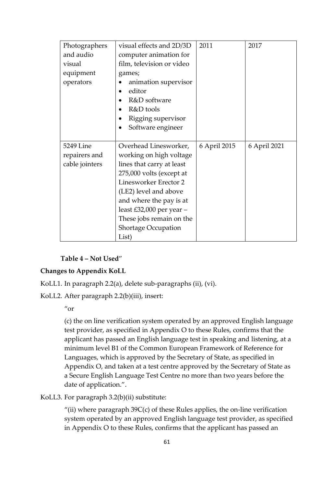| Photographers  | visual effects and 2D/3D     | 2011         | 2017         |
|----------------|------------------------------|--------------|--------------|
| and audio      | computer animation for       |              |              |
| visual         | film, television or video    |              |              |
| equipment      | games;                       |              |              |
| operators      | animation supervisor         |              |              |
|                | editor                       |              |              |
|                | R&D software                 |              |              |
|                | R&D tools                    |              |              |
|                | Rigging supervisor           |              |              |
|                | Software engineer            |              |              |
|                |                              |              |              |
| 5249 Line      | Overhead Linesworker,        | 6 April 2015 | 6 April 2021 |
| repairers and  | working on high voltage      |              |              |
| cable jointers |                              |              |              |
|                | lines that carry at least    |              |              |
|                | 275,000 volts (except at     |              |              |
|                | <b>Linesworker Erector 2</b> |              |              |
|                | (LE2) level and above        |              |              |
|                | and where the pay is at      |              |              |
|                | least £32,000 per year $-$   |              |              |
|                | These jobs remain on the     |              |              |
|                | <b>Shortage Occupation</b>   |              |              |

**Table 4 – Not Used**"

### **Changes to Appendix KoLL**

- KoLL1. In paragraph 2.2(a), delete sub-paragraphs (ii), (vi).
- KoLL2. After paragraph 2.2(b)(iii), insert:

 $^{\prime\prime}$ or

(c) the on line verification system operated by an approved English language test provider, as specified in Appendix O to these Rules, confirms that the applicant has passed an English language test in speaking and listening, at a minimum level B1 of the Common European Framework of Reference for Languages, which is approved by the Secretary of State, as specified in Appendix O, and taken at a test centre approved by the Secretary of State as a Secure English Language Test Centre no more than two years before the date of application.".

KoLL3. For paragraph 3.2(b)(ii) substitute:

"(ii) where paragraph  $39C(c)$  of these Rules applies, the on-line verification system operated by an approved English language test provider, as specified in Appendix O to these Rules, confirms that the applicant has passed an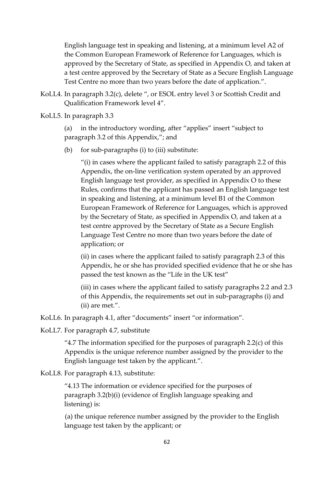English language test in speaking and listening, at a minimum level A2 of the Common European Framework of Reference for Languages, which is approved by the Secretary of State, as specified in Appendix O, and taken at a test centre approved by the Secretary of State as a Secure English Language Test Centre no more than two years before the date of application.".

- KoLL4. In paragraph 3.2(c), delete ", or ESOL entry level 3 or Scottish Credit and Qualification Framework level 4".
- KoLL5. In paragraph 3.3

(a) in the introductory wording, after "applies" insert "subject to paragraph 3.2 of this Appendix,"; and

(b) for sub-paragraphs (i) to (iii) substitute:

"(i) in cases where the applicant failed to satisfy paragraph 2.2 of this Appendix, the on-line verification system operated by an approved English language test provider, as specified in Appendix O to these Rules, confirms that the applicant has passed an English language test in speaking and listening, at a minimum level B1 of the Common European Framework of Reference for Languages, which is approved by the Secretary of State, as specified in Appendix O, and taken at a test centre approved by the Secretary of State as a Secure English Language Test Centre no more than two years before the date of application; or

(ii) in cases where the applicant failed to satisfy paragraph 2.3 of this Appendix, he or she has provided specified evidence that he or she has passed the test known as the "Life in the UK test"

(iii) in cases where the applicant failed to satisfy paragraphs 2.2 and 2.3 of this Appendix, the requirements set out in sub-paragraphs (i) and (ii) are met.".

KoLL6. In paragraph 4.1, after "documents" insert "or information".

KoLL7. For paragraph 4.7, substitute

"4.7 The information specified for the purposes of paragraph  $2.2(c)$  of this Appendix is the unique reference number assigned by the provider to the English language test taken by the applicant.".

KoLL8. For paragraph 4.13, substitute:

"4.13 The information or evidence specified for the purposes of paragraph 3.2(b)(i) (evidence of English language speaking and listening) is:

(a) the unique reference number assigned by the provider to the English language test taken by the applicant; or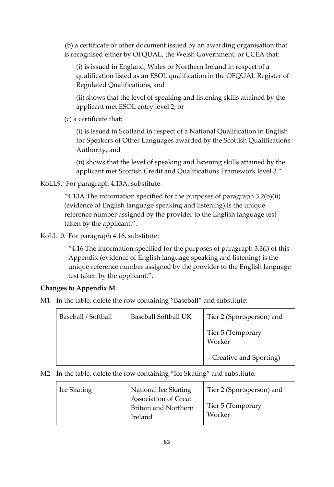(b) a certificate or other document issued by an awarding organisation that is recognised either by OFQUAL, the Welsh Government, or CCEA that:

(i) is issued in England, Wales or Northern Ireland in respect of a qualification listed as an ESOL qualification in the OFQUAL Register of Regulated Qualifications, and

(ii) shows that the level of speaking and listening skills attained by the applicant met ESOL entry level 2; or

(c) a certificate that:

(i) is issued in Scotland in respect of a National Qualification in English for Speakers of Other Languages awarded by the Scottish Qualifications Authority, and

(ii) shows that the level of speaking and listening skills attained by the applicant met Scottish Credit and Qualifications Framework level 3."

KoLL9. For paragraph 4.13A, substitute-

"4.13A The information specified for the purposes of paragraph  $3.2(b)(ii)$ " (evidence of English language speaking and listening) is the unique reference number assigned by the provider to the English language test taken by the applicant.".

KoLL10. For paragraph 4.16, substitute:

"4.16 The information specified for the purposes of paragraph 3.3(i) of this Appendix (evidence of English language speaking and listening) is the unique reference number assigned by the provider to the English language test taken by the applicant.".

### **Changes to Appendix M**

M1. In the table, delete the row containing "Baseball" and substitute:

| Baseball / Softball | Baseball Softball UK | Tier 2 (Sportsperson) and   |
|---------------------|----------------------|-----------------------------|
|                     |                      | Tier 5 (Temporary<br>Worker |
|                     |                      | - Creative and Sporting)    |

M2. In the table, delete the row containing "Ice Skating" and substitute:

| Ice Skating | National Ice Skating                                                  | Tier 2 (Sportsperson) and   |
|-------------|-----------------------------------------------------------------------|-----------------------------|
|             | <b>Association of Great</b><br><b>Britain and Northern</b><br>Ireland | Tier 5 (Temporary<br>Worker |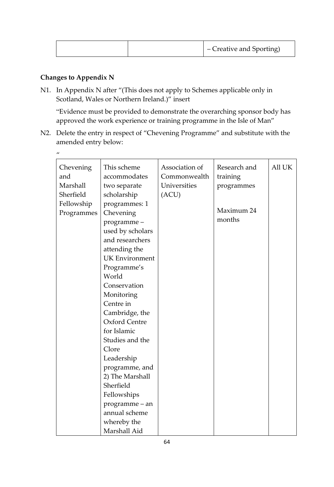| - Creative and Sporting) |
|--------------------------|
|--------------------------|

### **Changes to Appendix N**

 $\boldsymbol{u}$ 

N1. In Appendix N after "(This does not apply to Schemes applicable only in Scotland, Wales or Northern Ireland.)" insert

"Evidence must be provided to demonstrate the overarching sponsor body has approved the work experience or training programme in the Isle of Man"

N2. Delete the entry in respect of "Chevening Programme" and substitute with the amended entry below:

| Chevening  | This scheme           | Association of | Research and | All UK |
|------------|-----------------------|----------------|--------------|--------|
| and        | accommodates          | Commonwealth   | training     |        |
| Marshall   | two separate          | Universities   | programmes   |        |
| Sherfield  | scholarship           | (ACU)          |              |        |
| Fellowship | programmes: 1         |                | Maximum 24   |        |
| Programmes | Chevening             |                |              |        |
|            | programme-            |                | months       |        |
|            | used by scholars      |                |              |        |
|            | and researchers       |                |              |        |
|            | attending the         |                |              |        |
|            | <b>UK Environment</b> |                |              |        |
|            | Programme's           |                |              |        |
|            | World                 |                |              |        |
|            | Conservation          |                |              |        |
|            | Monitoring            |                |              |        |
|            | Centre in             |                |              |        |
|            | Cambridge, the        |                |              |        |
|            | <b>Oxford Centre</b>  |                |              |        |
|            | for Islamic           |                |              |        |
|            | Studies and the       |                |              |        |
|            | Clore                 |                |              |        |
|            | Leadership            |                |              |        |
|            | programme, and        |                |              |        |
|            | 2) The Marshall       |                |              |        |
|            | Sherfield             |                |              |        |
|            | Fellowships           |                |              |        |
|            | programme – an        |                |              |        |
|            | annual scheme         |                |              |        |
|            | whereby the           |                |              |        |
|            | Marshall Aid          |                |              |        |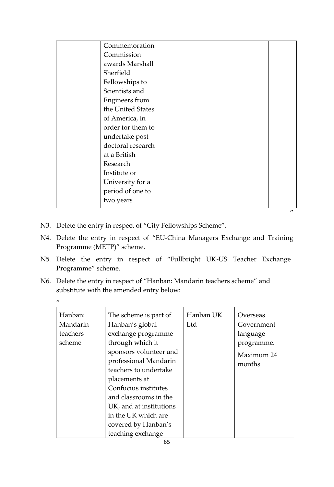|                   |  | $^{\prime\prime}$ |
|-------------------|--|-------------------|
| two years         |  |                   |
| period of one to  |  |                   |
| University for a  |  |                   |
| Institute or      |  |                   |
| Research          |  |                   |
| at a British      |  |                   |
| doctoral research |  |                   |
| undertake post-   |  |                   |
| order for them to |  |                   |
| of America, in    |  |                   |
| the United States |  |                   |
| Engineers from    |  |                   |
| Scientists and    |  |                   |
| Fellowships to    |  |                   |
| Sherfield         |  |                   |
| awards Marshall   |  |                   |
| Commission        |  |                   |
| Commemoration     |  |                   |

N3. Delete the entry in respect of "City Fellowships Scheme".

 $\overline{u}$ 

- N4. Delete the entry in respect of "EU-China Managers Exchange and Training Programme (METP)" scheme.
- N5. Delete the entry in respect of "Fullbright UK-US Teacher Exchange Programme" scheme.
- N6. Delete the entry in respect of "Hanban: Mandarin teachers scheme" and substitute with the amended entry below:

| Hanban:<br>Mandarin<br>teachers<br>scheme | The scheme is part of<br>Hanban's global<br>exchange programme<br>through which it<br>sponsors volunteer and<br>professional Mandarin<br>teachers to undertake<br>placements at<br>Confucius institutes<br>and classrooms in the<br>UK, and at institutions<br>in the UK which are<br>covered by Hanban's | Hanban UK<br>Ltd | Overseas<br>Government<br>language<br>programme.<br>Maximum 24<br>months |
|-------------------------------------------|-----------------------------------------------------------------------------------------------------------------------------------------------------------------------------------------------------------------------------------------------------------------------------------------------------------|------------------|--------------------------------------------------------------------------|
|                                           | teaching exchange                                                                                                                                                                                                                                                                                         |                  |                                                                          |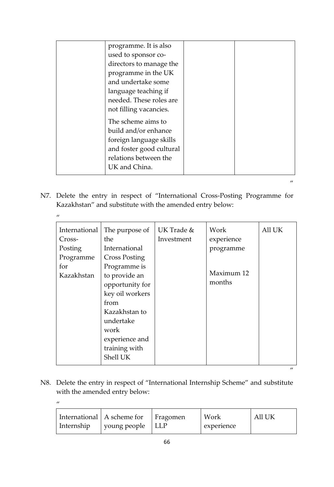| programme. It is also    |  |
|--------------------------|--|
| used to sponsor co-      |  |
| directors to manage the  |  |
| programme in the UK      |  |
| and undertake some       |  |
| language teaching if     |  |
| needed. These roles are  |  |
| not filling vacancies.   |  |
| The scheme aims to       |  |
| build and/or enhance     |  |
| foreign language skills  |  |
| and foster good cultural |  |
| relations between the    |  |
| UK and China.            |  |

N7. Delete the entry in respect of "International Cross-Posting Programme for Kazakhstan" and substitute with the amended entry below:

 $\mathbf{u}$ 

 $\mathbf{u}$ 

 $^{\prime\prime}$ 

| International | The purpose of       | UK Trade & | Work       | All UK            |
|---------------|----------------------|------------|------------|-------------------|
| Cross-        | the                  | Investment | experience |                   |
| Posting       | International        |            | programme  |                   |
| Programme     | <b>Cross Posting</b> |            |            |                   |
| for           | Programme is         |            |            |                   |
| Kazakhstan    | to provide an        |            | Maximum 12 |                   |
|               | opportunity for      |            | months     |                   |
|               | key oil workers      |            |            |                   |
|               | from                 |            |            |                   |
|               | Kazakhstan to        |            |            |                   |
|               | undertake            |            |            |                   |
|               | work                 |            |            |                   |
|               | experience and       |            |            |                   |
|               | training with        |            |            |                   |
|               | Shell UK             |            |            |                   |
|               |                      |            |            | $^{\prime\prime}$ |

N8. Delete the entry in respect of "International Internship Scheme" and substitute with the amended entry below:

| International   A scheme for   Fragomen<br>  Internship<br>  young people   LLP |  | Work<br>experience | All UK |  |
|---------------------------------------------------------------------------------|--|--------------------|--------|--|
|---------------------------------------------------------------------------------|--|--------------------|--------|--|